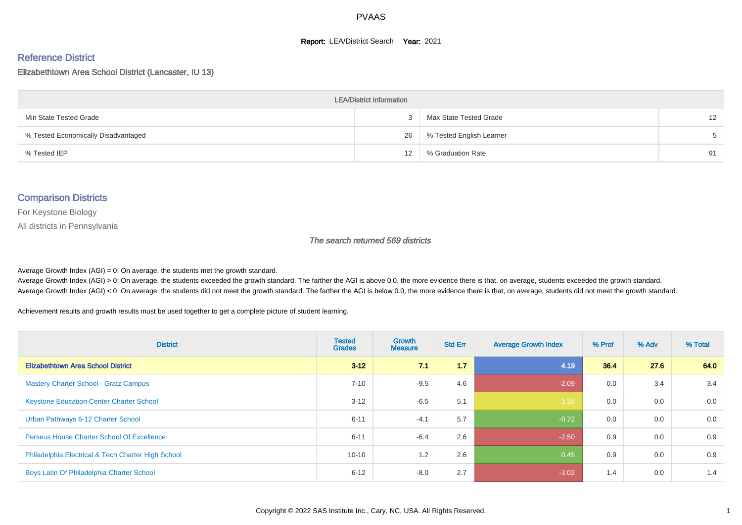#### **Report: LEA/District Search Year: 2021**

#### Reference District

Elizabethtown Area School District (Lancaster, IU 13)

| <b>LEA/District Information</b>     |    |                          |                   |  |  |  |  |  |  |  |
|-------------------------------------|----|--------------------------|-------------------|--|--|--|--|--|--|--|
| Min State Tested Grade              |    | Max State Tested Grade   | $12 \overline{ }$ |  |  |  |  |  |  |  |
| % Tested Economically Disadvantaged | 26 | % Tested English Learner | 5                 |  |  |  |  |  |  |  |
| % Tested IEP                        | 12 | % Graduation Rate        | 91                |  |  |  |  |  |  |  |

#### Comparison Districts

For Keystone Biology

All districts in Pennsylvania

The search returned 569 districts

Average Growth Index  $(AGI) = 0$ : On average, the students met the growth standard.

Average Growth Index (AGI) > 0: On average, the students exceeded the growth standard. The farther the AGI is above 0.0, the more evidence there is that, on average, students exceeded the growth standard. Average Growth Index (AGI) < 0: On average, the students did not meet the growth standard. The farther the AGI is below 0.0, the more evidence there is that, on average, students did not meet the growth standard.

Achievement results and growth results must be used together to get a complete picture of student learning.

| <b>District</b>                                    | <b>Tested</b><br><b>Grades</b> | <b>Growth</b><br><b>Measure</b> | <b>Std Err</b> | <b>Average Growth Index</b> | % Prof | % Adv | % Total |
|----------------------------------------------------|--------------------------------|---------------------------------|----------------|-----------------------------|--------|-------|---------|
| <b>Elizabethtown Area School District</b>          | $3 - 12$                       | 71                              | 1.7            | 4.19                        | 36.4   | 27.6  | 64.0    |
| <b>Mastery Charter School - Gratz Campus</b>       | $7 - 10$                       | $-9.5$                          | 4.6            | $-2.09$                     | 0.0    | 3.4   | 3.4     |
| <b>Keystone Education Center Charter School</b>    | $3 - 12$                       | $-6.5$                          | 5.1            | $-1.28$                     | 0.0    | 0.0   | 0.0     |
| Urban Pathways 6-12 Charter School                 | $6 - 11$                       | $-4.1$                          | 5.7            | $-0.72$                     | 0.0    | 0.0   | 0.0     |
| <b>Perseus House Charter School Of Excellence</b>  | $6 - 11$                       | $-6.4$                          | 2.6            | $-2.50$                     | 0.9    | 0.0   | 0.9     |
| Philadelphia Electrical & Tech Charter High School | $10 - 10$                      | 1.2                             | 2.6            | 0.45                        | 0.9    | 0.0   | 0.9     |
| Boys Latin Of Philadelphia Charter School          | $6 - 12$                       | $-8.0$                          | 2.7            | $-3.02$                     | 1.4    | 0.0   | 1.4     |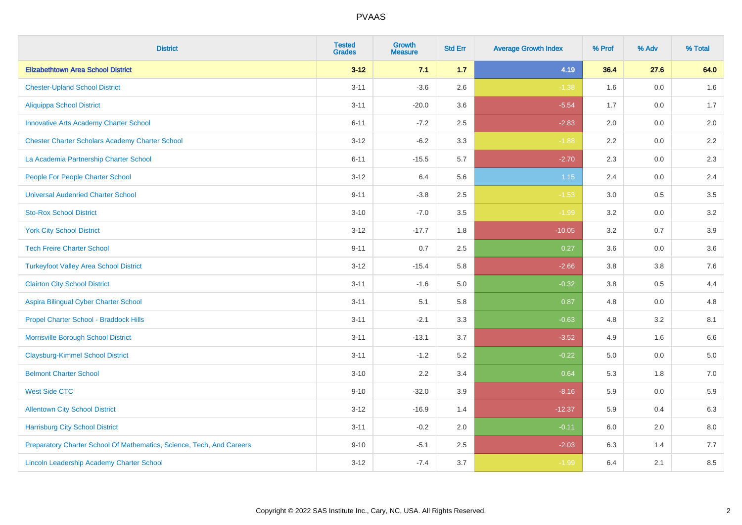| <b>District</b>                                                       | <b>Tested</b><br><b>Grades</b> | Growth<br><b>Measure</b> | <b>Std Err</b> | <b>Average Growth Index</b> | % Prof  | % Adv | % Total |
|-----------------------------------------------------------------------|--------------------------------|--------------------------|----------------|-----------------------------|---------|-------|---------|
| <b>Elizabethtown Area School District</b>                             | $3 - 12$                       | 7.1                      | 1.7            | 4.19                        | 36.4    | 27.6  | 64.0    |
| <b>Chester-Upland School District</b>                                 | $3 - 11$                       | $-3.6$                   | 2.6            | $-1.38$                     | 1.6     | 0.0   | 1.6     |
| <b>Aliquippa School District</b>                                      | $3 - 11$                       | $-20.0$                  | 3.6            | $-5.54$                     | 1.7     | 0.0   | 1.7     |
| <b>Innovative Arts Academy Charter School</b>                         | $6 - 11$                       | $-7.2$                   | 2.5            | $-2.83$                     | $2.0\,$ | 0.0   | $2.0\,$ |
| <b>Chester Charter Scholars Academy Charter School</b>                | $3 - 12$                       | $-6.2$                   | 3.3            | $-1.88$                     | 2.2     | 0.0   | 2.2     |
| La Academia Partnership Charter School                                | $6 - 11$                       | $-15.5$                  | 5.7            | $-2.70$                     | 2.3     | 0.0   | $2.3\,$ |
| People For People Charter School                                      | $3 - 12$                       | 6.4                      | 5.6            | $1.15$                      | 2.4     | 0.0   | 2.4     |
| <b>Universal Audenried Charter School</b>                             | $9 - 11$                       | $-3.8$                   | 2.5            | $-1.53$                     | 3.0     | 0.5   | 3.5     |
| <b>Sto-Rox School District</b>                                        | $3 - 10$                       | $-7.0$                   | 3.5            | $-1.99$                     | 3.2     | 0.0   | $3.2\,$ |
| <b>York City School District</b>                                      | $3 - 12$                       | $-17.7$                  | 1.8            | $-10.05$                    | 3.2     | 0.7   | $3.9\,$ |
| <b>Tech Freire Charter School</b>                                     | $9 - 11$                       | 0.7                      | 2.5            | 0.27                        | 3.6     | 0.0   | 3.6     |
| <b>Turkeyfoot Valley Area School District</b>                         | $3 - 12$                       | $-15.4$                  | 5.8            | $-2.66$                     | 3.8     | 3.8   | 7.6     |
| <b>Clairton City School District</b>                                  | $3 - 11$                       | $-1.6$                   | 5.0            | $-0.32$                     | 3.8     | 0.5   | 4.4     |
| Aspira Bilingual Cyber Charter School                                 | $3 - 11$                       | 5.1                      | 5.8            | 0.87                        | 4.8     | 0.0   | 4.8     |
| Propel Charter School - Braddock Hills                                | $3 - 11$                       | $-2.1$                   | 3.3            | $-0.63$                     | 4.8     | 3.2   | 8.1     |
| Morrisville Borough School District                                   | $3 - 11$                       | $-13.1$                  | 3.7            | $-3.52$                     | 4.9     | 1.6   | 6.6     |
| <b>Claysburg-Kimmel School District</b>                               | $3 - 11$                       | $-1.2$                   | 5.2            | $-0.22$                     | 5.0     | 0.0   | 5.0     |
| <b>Belmont Charter School</b>                                         | $3 - 10$                       | 2.2                      | 3.4            | 0.64                        | 5.3     | 1.8   | $7.0\,$ |
| <b>West Side CTC</b>                                                  | $9 - 10$                       | $-32.0$                  | 3.9            | $-8.16$                     | 5.9     | 0.0   | 5.9     |
| <b>Allentown City School District</b>                                 | $3 - 12$                       | $-16.9$                  | 1.4            | $-12.37$                    | 5.9     | 0.4   | 6.3     |
| <b>Harrisburg City School District</b>                                | $3 - 11$                       | $-0.2$                   | 2.0            | $-0.11$                     | 6.0     | 2.0   | 8.0     |
| Preparatory Charter School Of Mathematics, Science, Tech, And Careers | $9 - 10$                       | $-5.1$                   | 2.5            | $-2.03$                     | 6.3     | 1.4   | 7.7     |
| Lincoln Leadership Academy Charter School                             | $3 - 12$                       | $-7.4$                   | 3.7            | $-1.99$                     | 6.4     | 2.1   | 8.5     |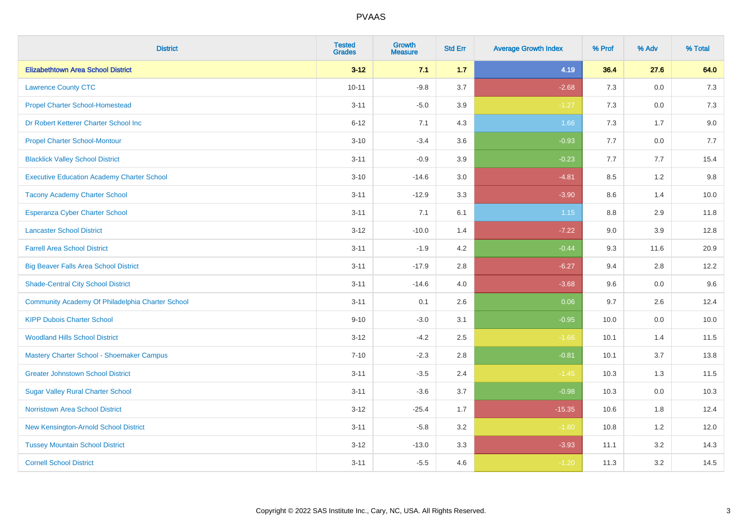| <b>District</b>                                   | <b>Tested</b><br><b>Grades</b> | <b>Growth</b><br><b>Measure</b> | <b>Std Err</b> | <b>Average Growth Index</b> | % Prof | % Adv   | % Total |
|---------------------------------------------------|--------------------------------|---------------------------------|----------------|-----------------------------|--------|---------|---------|
| <b>Elizabethtown Area School District</b>         | $3 - 12$                       | 7.1                             | $1.7$          | 4.19                        | 36.4   | 27.6    | 64.0    |
| <b>Lawrence County CTC</b>                        | $10 - 11$                      | $-9.8$                          | 3.7            | $-2.68$                     | 7.3    | 0.0     | 7.3     |
| <b>Propel Charter School-Homestead</b>            | $3 - 11$                       | $-5.0$                          | 3.9            | $-1.27$                     | 7.3    | 0.0     | $7.3$   |
| Dr Robert Ketterer Charter School Inc             | $6 - 12$                       | 7.1                             | 4.3            | 1.66                        | 7.3    | 1.7     | 9.0     |
| <b>Propel Charter School-Montour</b>              | $3 - 10$                       | $-3.4$                          | 3.6            | $-0.93$                     | 7.7    | 0.0     | 7.7     |
| <b>Blacklick Valley School District</b>           | $3 - 11$                       | $-0.9$                          | 3.9            | $-0.23$                     | 7.7    | 7.7     | 15.4    |
| <b>Executive Education Academy Charter School</b> | $3 - 10$                       | $-14.6$                         | 3.0            | $-4.81$                     | 8.5    | 1.2     | 9.8     |
| <b>Tacony Academy Charter School</b>              | $3 - 11$                       | $-12.9$                         | 3.3            | $-3.90$                     | 8.6    | 1.4     | 10.0    |
| <b>Esperanza Cyber Charter School</b>             | $3 - 11$                       | 7.1                             | 6.1            | 1.15                        | 8.8    | 2.9     | 11.8    |
| <b>Lancaster School District</b>                  | $3 - 12$                       | $-10.0$                         | 1.4            | $-7.22$                     | 9.0    | 3.9     | 12.8    |
| <b>Farrell Area School District</b>               | $3 - 11$                       | $-1.9$                          | 4.2            | $-0.44$                     | 9.3    | 11.6    | 20.9    |
| <b>Big Beaver Falls Area School District</b>      | $3 - 11$                       | $-17.9$                         | 2.8            | $-6.27$                     | 9.4    | 2.8     | 12.2    |
| <b>Shade-Central City School District</b>         | $3 - 11$                       | $-14.6$                         | 4.0            | $-3.68$                     | 9.6    | $0.0\,$ | 9.6     |
| Community Academy Of Philadelphia Charter School  | $3 - 11$                       | 0.1                             | 2.6            | 0.06                        | 9.7    | 2.6     | 12.4    |
| <b>KIPP Dubois Charter School</b>                 | $9 - 10$                       | $-3.0$                          | 3.1            | $-0.95$                     | 10.0   | 0.0     | 10.0    |
| <b>Woodland Hills School District</b>             | $3 - 12$                       | $-4.2$                          | 2.5            | $-1.66$                     | 10.1   | 1.4     | 11.5    |
| Mastery Charter School - Shoemaker Campus         | $7 - 10$                       | $-2.3$                          | 2.8            | $-0.81$                     | 10.1   | 3.7     | 13.8    |
| <b>Greater Johnstown School District</b>          | $3 - 11$                       | $-3.5$                          | 2.4            | $-1.45$                     | 10.3   | 1.3     | 11.5    |
| <b>Sugar Valley Rural Charter School</b>          | $3 - 11$                       | $-3.6$                          | 3.7            | $-0.98$                     | 10.3   | 0.0     | 10.3    |
| <b>Norristown Area School District</b>            | $3 - 12$                       | $-25.4$                         | 1.7            | $-15.35$                    | 10.6   | 1.8     | 12.4    |
| New Kensington-Arnold School District             | $3 - 11$                       | $-5.8$                          | 3.2            | $-1.80$                     | 10.8   | 1.2     | 12.0    |
| <b>Tussey Mountain School District</b>            | $3 - 12$                       | $-13.0$                         | 3.3            | $-3.93$                     | 11.1   | 3.2     | 14.3    |
| <b>Cornell School District</b>                    | $3 - 11$                       | $-5.5$                          | 4.6            | $-1.20$                     | 11.3   | 3.2     | 14.5    |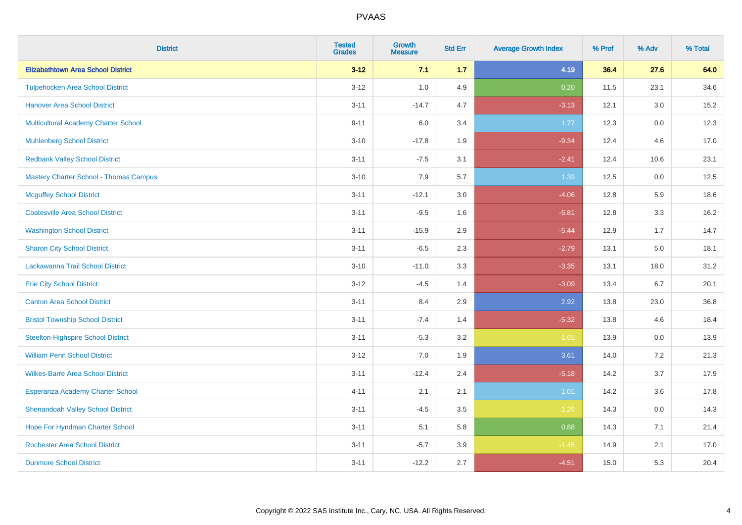| <b>District</b>                               | <b>Tested</b><br><b>Grades</b> | <b>Growth</b><br><b>Measure</b> | <b>Std Err</b> | <b>Average Growth Index</b> | % Prof | % Adv   | % Total |
|-----------------------------------------------|--------------------------------|---------------------------------|----------------|-----------------------------|--------|---------|---------|
| <b>Elizabethtown Area School District</b>     | $3 - 12$                       | 7.1                             | 1.7            | 4.19                        | 36.4   | 27.6    | 64.0    |
| <b>Tulpehocken Area School District</b>       | $3 - 12$                       | 1.0                             | 4.9            | 0.20                        | 11.5   | 23.1    | 34.6    |
| <b>Hanover Area School District</b>           | $3 - 11$                       | $-14.7$                         | 4.7            | $-3.13$                     | 12.1   | 3.0     | 15.2    |
| <b>Multicultural Academy Charter School</b>   | $9 - 11$                       | 6.0                             | 3.4            | 1.77                        | 12.3   | 0.0     | 12.3    |
| <b>Muhlenberg School District</b>             | $3 - 10$                       | $-17.8$                         | 1.9            | $-9.34$                     | 12.4   | 4.6     | 17.0    |
| <b>Redbank Valley School District</b>         | $3 - 11$                       | $-7.5$                          | 3.1            | $-2.41$                     | 12.4   | 10.6    | 23.1    |
| <b>Mastery Charter School - Thomas Campus</b> | $3 - 10$                       | 7.9                             | 5.7            | 1.39                        | 12.5   | 0.0     | 12.5    |
| <b>Mcguffey School District</b>               | $3 - 11$                       | $-12.1$                         | 3.0            | $-4.06$                     | 12.8   | 5.9     | 18.6    |
| <b>Coatesville Area School District</b>       | $3 - 11$                       | $-9.5$                          | 1.6            | $-5.81$                     | 12.8   | 3.3     | 16.2    |
| <b>Washington School District</b>             | $3 - 11$                       | $-15.9$                         | 2.9            | $-5.44$                     | 12.9   | 1.7     | 14.7    |
| <b>Sharon City School District</b>            | $3 - 11$                       | $-6.5$                          | 2.3            | $-2.79$                     | 13.1   | 5.0     | 18.1    |
| Lackawanna Trail School District              | $3 - 10$                       | $-11.0$                         | 3.3            | $-3.35$                     | 13.1   | 18.0    | 31.2    |
| <b>Erie City School District</b>              | $3 - 12$                       | $-4.5$                          | 1.4            | $-3.09$                     | 13.4   | 6.7     | 20.1    |
| <b>Canton Area School District</b>            | $3 - 11$                       | 8.4                             | 2.9            | 2.92                        | 13.8   | 23.0    | 36.8    |
| <b>Bristol Township School District</b>       | $3 - 11$                       | $-7.4$                          | 1.4            | $-5.32$                     | 13.8   | 4.6     | 18.4    |
| <b>Steelton-Highspire School District</b>     | $3 - 11$                       | $-5.3$                          | 3.2            | $-1.65$                     | 13.9   | $0.0\,$ | 13.9    |
| <b>William Penn School District</b>           | $3 - 12$                       | 7.0                             | 1.9            | 3.61                        | 14.0   | 7.2     | 21.3    |
| <b>Wilkes-Barre Area School District</b>      | $3 - 11$                       | $-12.4$                         | 2.4            | $-5.18$                     | 14.2   | 3.7     | 17.9    |
| Esperanza Academy Charter School              | $4 - 11$                       | 2.1                             | 2.1            | 1.01                        | 14.2   | 3.6     | 17.8    |
| <b>Shenandoah Valley School District</b>      | $3 - 11$                       | $-4.5$                          | 3.5            | $-1.29$                     | 14.3   | 0.0     | 14.3    |
| Hope For Hyndman Charter School               | $3 - 11$                       | 5.1                             | 5.8            | 0.88                        | 14.3   | 7.1     | 21.4    |
| <b>Rochester Area School District</b>         | $3 - 11$                       | $-5.7$                          | 3.9            | $-1.45$                     | 14.9   | 2.1     | 17.0    |
| <b>Dunmore School District</b>                | $3 - 11$                       | $-12.2$                         | 2.7            | $-4.51$                     | 15.0   | 5.3     | 20.4    |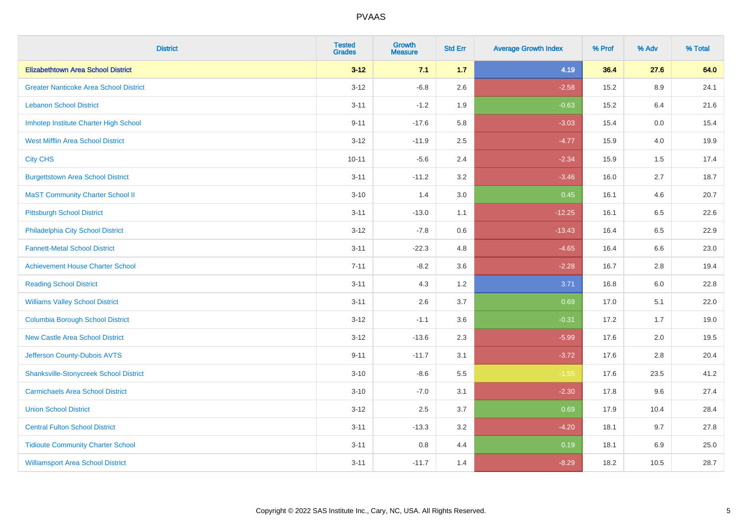| <b>District</b>                               | <b>Tested</b><br><b>Grades</b> | <b>Growth</b><br><b>Measure</b> | <b>Std Err</b> | <b>Average Growth Index</b> | % Prof | % Adv   | % Total |
|-----------------------------------------------|--------------------------------|---------------------------------|----------------|-----------------------------|--------|---------|---------|
| <b>Elizabethtown Area School District</b>     | $3 - 12$                       | 7.1                             | $1.7$          | 4.19                        | 36.4   | 27.6    | 64.0    |
| <b>Greater Nanticoke Area School District</b> | $3 - 12$                       | $-6.8$                          | 2.6            | $-2.58$                     | 15.2   | $8.9\,$ | 24.1    |
| <b>Lebanon School District</b>                | $3 - 11$                       | $-1.2$                          | 1.9            | $-0.63$                     | 15.2   | 6.4     | 21.6    |
| Imhotep Institute Charter High School         | $9 - 11$                       | $-17.6$                         | 5.8            | $-3.03$                     | 15.4   | $0.0\,$ | 15.4    |
| <b>West Mifflin Area School District</b>      | $3 - 12$                       | $-11.9$                         | 2.5            | $-4.77$                     | 15.9   | 4.0     | 19.9    |
| <b>City CHS</b>                               | $10 - 11$                      | $-5.6$                          | 2.4            | $-2.34$                     | 15.9   | 1.5     | 17.4    |
| <b>Burgettstown Area School District</b>      | $3 - 11$                       | $-11.2$                         | 3.2            | $-3.46$                     | 16.0   | 2.7     | 18.7    |
| <b>MaST Community Charter School II</b>       | $3 - 10$                       | 1.4                             | 3.0            | 0.45                        | 16.1   | 4.6     | 20.7    |
| <b>Pittsburgh School District</b>             | $3 - 11$                       | $-13.0$                         | 1.1            | $-12.25$                    | 16.1   | 6.5     | 22.6    |
| Philadelphia City School District             | $3 - 12$                       | $-7.8$                          | 0.6            | $-13.43$                    | 16.4   | 6.5     | 22.9    |
| <b>Fannett-Metal School District</b>          | $3 - 11$                       | $-22.3$                         | 4.8            | $-4.65$                     | 16.4   | 6.6     | 23.0    |
| <b>Achievement House Charter School</b>       | $7 - 11$                       | $-8.2$                          | 3.6            | $-2.28$                     | 16.7   | 2.8     | 19.4    |
| <b>Reading School District</b>                | $3 - 11$                       | 4.3                             | 1.2            | 3.71                        | 16.8   | $6.0\,$ | 22.8    |
| <b>Williams Valley School District</b>        | $3 - 11$                       | 2.6                             | 3.7            | 0.69                        | 17.0   | 5.1     | 22.0    |
| <b>Columbia Borough School District</b>       | $3 - 12$                       | $-1.1$                          | 3.6            | $-0.31$                     | 17.2   | 1.7     | 19.0    |
| <b>New Castle Area School District</b>        | $3 - 12$                       | $-13.6$                         | 2.3            | $-5.99$                     | 17.6   | 2.0     | 19.5    |
| Jefferson County-Dubois AVTS                  | $9 - 11$                       | $-11.7$                         | 3.1            | $-3.72$                     | 17.6   | 2.8     | 20.4    |
| <b>Shanksville-Stonycreek School District</b> | $3 - 10$                       | $-8.6$                          | 5.5            | $-1.55$                     | 17.6   | 23.5    | 41.2    |
| <b>Carmichaels Area School District</b>       | $3 - 10$                       | $-7.0$                          | 3.1            | $-2.30$                     | 17.8   | 9.6     | 27.4    |
| <b>Union School District</b>                  | $3 - 12$                       | 2.5                             | 3.7            | 0.69                        | 17.9   | 10.4    | 28.4    |
| <b>Central Fulton School District</b>         | $3 - 11$                       | $-13.3$                         | 3.2            | $-4.20$                     | 18.1   | 9.7     | 27.8    |
| <b>Tidioute Community Charter School</b>      | $3 - 11$                       | 0.8                             | 4.4            | 0.19                        | 18.1   | 6.9     | 25.0    |
| <b>Williamsport Area School District</b>      | $3 - 11$                       | $-11.7$                         | 1.4            | $-8.29$                     | 18.2   | 10.5    | 28.7    |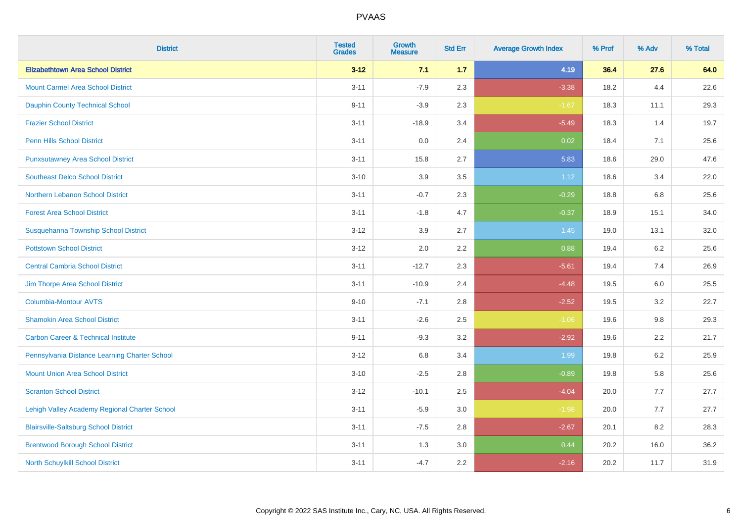| <b>District</b>                                | <b>Tested</b><br><b>Grades</b> | <b>Growth</b><br><b>Measure</b> | <b>Std Err</b> | <b>Average Growth Index</b> | % Prof | % Adv   | % Total |
|------------------------------------------------|--------------------------------|---------------------------------|----------------|-----------------------------|--------|---------|---------|
| <b>Elizabethtown Area School District</b>      | $3 - 12$                       | 7.1                             | $1.7$          | 4.19                        | 36.4   | 27.6    | 64.0    |
| <b>Mount Carmel Area School District</b>       | $3 - 11$                       | $-7.9$                          | 2.3            | $-3.38$                     | 18.2   | 4.4     | 22.6    |
| <b>Dauphin County Technical School</b>         | $9 - 11$                       | $-3.9$                          | 2.3            | $-1.67$                     | 18.3   | 11.1    | 29.3    |
| <b>Frazier School District</b>                 | $3 - 11$                       | $-18.9$                         | 3.4            | $-5.49$                     | 18.3   | 1.4     | 19.7    |
| <b>Penn Hills School District</b>              | $3 - 11$                       | 0.0                             | 2.4            | 0.02                        | 18.4   | 7.1     | 25.6    |
| <b>Punxsutawney Area School District</b>       | $3 - 11$                       | 15.8                            | 2.7            | 5.83                        | 18.6   | 29.0    | 47.6    |
| <b>Southeast Delco School District</b>         | $3 - 10$                       | 3.9                             | 3.5            | 1.12                        | 18.6   | 3.4     | 22.0    |
| Northern Lebanon School District               | $3 - 11$                       | $-0.7$                          | 2.3            | $-0.29$                     | 18.8   | 6.8     | 25.6    |
| <b>Forest Area School District</b>             | $3 - 11$                       | $-1.8$                          | 4.7            | $-0.37$                     | 18.9   | 15.1    | 34.0    |
| Susquehanna Township School District           | $3 - 12$                       | 3.9                             | 2.7            | 1.45                        | 19.0   | 13.1    | 32.0    |
| <b>Pottstown School District</b>               | $3 - 12$                       | 2.0                             | 2.2            | 0.88                        | 19.4   | 6.2     | 25.6    |
| <b>Central Cambria School District</b>         | $3 - 11$                       | $-12.7$                         | 2.3            | $-5.61$                     | 19.4   | 7.4     | 26.9    |
| Jim Thorpe Area School District                | $3 - 11$                       | $-10.9$                         | 2.4            | $-4.48$                     | 19.5   | $6.0\,$ | 25.5    |
| <b>Columbia-Montour AVTS</b>                   | $9 - 10$                       | $-7.1$                          | 2.8            | $-2.52$                     | 19.5   | 3.2     | 22.7    |
| <b>Shamokin Area School District</b>           | $3 - 11$                       | $-2.6$                          | 2.5            | $-1.06$                     | 19.6   | $9.8\,$ | 29.3    |
| <b>Carbon Career &amp; Technical Institute</b> | $9 - 11$                       | $-9.3$                          | 3.2            | $-2.92$                     | 19.6   | 2.2     | 21.7    |
| Pennsylvania Distance Learning Charter School  | $3 - 12$                       | 6.8                             | 3.4            | 1.99                        | 19.8   | 6.2     | 25.9    |
| <b>Mount Union Area School District</b>        | $3 - 10$                       | $-2.5$                          | 2.8            | $-0.89$                     | 19.8   | 5.8     | 25.6    |
| <b>Scranton School District</b>                | $3 - 12$                       | $-10.1$                         | 2.5            | $-4.04$                     | 20.0   | 7.7     | 27.7    |
| Lehigh Valley Academy Regional Charter School  | $3 - 11$                       | $-5.9$                          | 3.0            | $-1.98$                     | 20.0   | 7.7     | 27.7    |
| <b>Blairsville-Saltsburg School District</b>   | $3 - 11$                       | $-7.5$                          | 2.8            | $-2.67$                     | 20.1   | 8.2     | 28.3    |
| <b>Brentwood Borough School District</b>       | $3 - 11$                       | 1.3                             | 3.0            | 0.44                        | 20.2   | 16.0    | 36.2    |
| North Schuylkill School District               | $3 - 11$                       | $-4.7$                          | 2.2            | $-2.16$                     | 20.2   | 11.7    | 31.9    |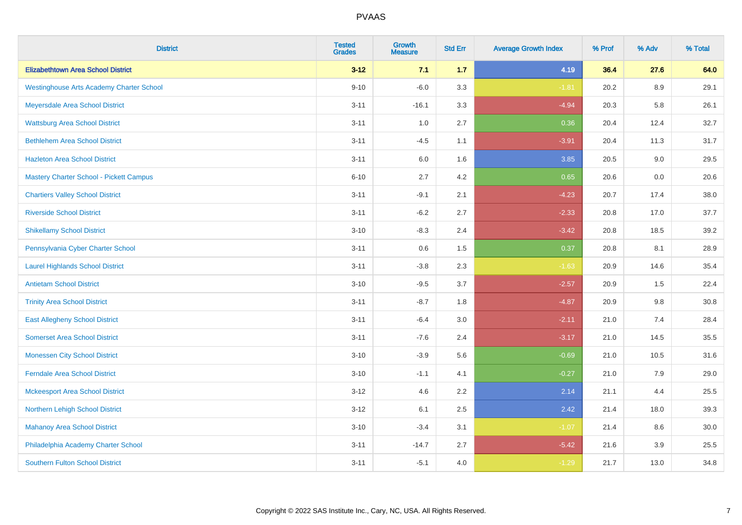| <b>District</b>                                 | <b>Tested</b><br><b>Grades</b> | <b>Growth</b><br><b>Measure</b> | <b>Std Err</b> | <b>Average Growth Index</b> | % Prof | % Adv   | % Total |
|-------------------------------------------------|--------------------------------|---------------------------------|----------------|-----------------------------|--------|---------|---------|
| <b>Elizabethtown Area School District</b>       | $3 - 12$                       | 7.1                             | $1.7$          | 4.19                        | 36.4   | 27.6    | 64.0    |
| <b>Westinghouse Arts Academy Charter School</b> | $9 - 10$                       | $-6.0$                          | 3.3            | $-1.81$                     | 20.2   | 8.9     | 29.1    |
| Meyersdale Area School District                 | $3 - 11$                       | $-16.1$                         | 3.3            | $-4.94$                     | 20.3   | 5.8     | 26.1    |
| <b>Wattsburg Area School District</b>           | $3 - 11$                       | 1.0                             | 2.7            | 0.36                        | 20.4   | 12.4    | 32.7    |
| <b>Bethlehem Area School District</b>           | $3 - 11$                       | $-4.5$                          | 1.1            | $-3.91$                     | 20.4   | 11.3    | 31.7    |
| <b>Hazleton Area School District</b>            | $3 - 11$                       | 6.0                             | 1.6            | 3.85                        | 20.5   | 9.0     | 29.5    |
| <b>Mastery Charter School - Pickett Campus</b>  | $6 - 10$                       | 2.7                             | 4.2            | 0.65                        | 20.6   | 0.0     | 20.6    |
| <b>Chartiers Valley School District</b>         | $3 - 11$                       | $-9.1$                          | 2.1            | $-4.23$                     | 20.7   | 17.4    | 38.0    |
| <b>Riverside School District</b>                | $3 - 11$                       | $-6.2$                          | 2.7            | $-2.33$                     | 20.8   | 17.0    | 37.7    |
| <b>Shikellamy School District</b>               | $3 - 10$                       | $-8.3$                          | 2.4            | $-3.42$                     | 20.8   | 18.5    | 39.2    |
| Pennsylvania Cyber Charter School               | $3 - 11$                       | 0.6                             | 1.5            | 0.37                        | 20.8   | 8.1     | 28.9    |
| <b>Laurel Highlands School District</b>         | $3 - 11$                       | $-3.8$                          | 2.3            | $-1.63$                     | 20.9   | 14.6    | 35.4    |
| <b>Antietam School District</b>                 | $3 - 10$                       | $-9.5$                          | 3.7            | $-2.57$                     | 20.9   | 1.5     | 22.4    |
| <b>Trinity Area School District</b>             | $3 - 11$                       | $-8.7$                          | 1.8            | $-4.87$                     | 20.9   | $9.8\,$ | 30.8    |
| <b>East Allegheny School District</b>           | $3 - 11$                       | $-6.4$                          | 3.0            | $-2.11$                     | 21.0   | 7.4     | 28.4    |
| <b>Somerset Area School District</b>            | $3 - 11$                       | $-7.6$                          | 2.4            | $-3.17$                     | 21.0   | 14.5    | 35.5    |
| <b>Monessen City School District</b>            | $3 - 10$                       | $-3.9$                          | 5.6            | $-0.69$                     | 21.0   | 10.5    | 31.6    |
| <b>Ferndale Area School District</b>            | $3 - 10$                       | $-1.1$                          | 4.1            | $-0.27$                     | 21.0   | 7.9     | 29.0    |
| <b>Mckeesport Area School District</b>          | $3 - 12$                       | 4.6                             | 2.2            | 2.14                        | 21.1   | 4.4     | 25.5    |
| <b>Northern Lehigh School District</b>          | $3 - 12$                       | 6.1                             | 2.5            | 2.42                        | 21.4   | 18.0    | 39.3    |
| <b>Mahanoy Area School District</b>             | $3 - 10$                       | $-3.4$                          | 3.1            | $-1.07$                     | 21.4   | 8.6     | 30.0    |
| Philadelphia Academy Charter School             | $3 - 11$                       | $-14.7$                         | 2.7            | $-5.42$                     | 21.6   | 3.9     | 25.5    |
| <b>Southern Fulton School District</b>          | $3 - 11$                       | $-5.1$                          | 4.0            | $-1.29$                     | 21.7   | 13.0    | 34.8    |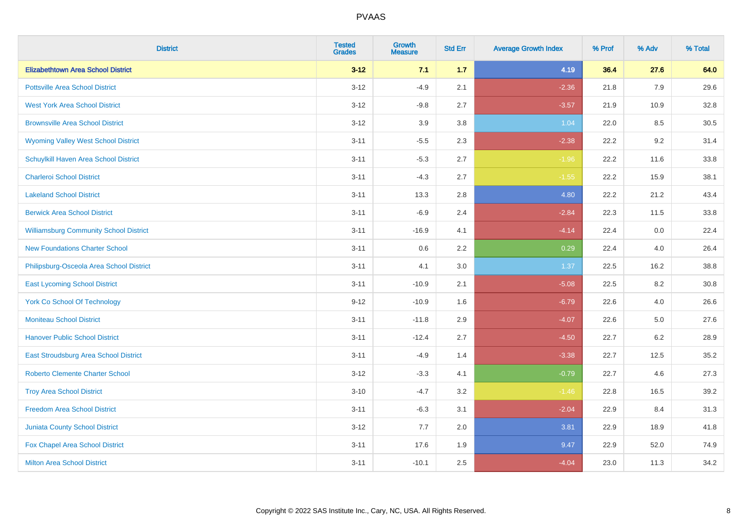| <b>District</b>                               | <b>Tested</b><br><b>Grades</b> | <b>Growth</b><br><b>Measure</b> | <b>Std Err</b> | <b>Average Growth Index</b> | % Prof | % Adv | % Total |
|-----------------------------------------------|--------------------------------|---------------------------------|----------------|-----------------------------|--------|-------|---------|
| <b>Elizabethtown Area School District</b>     | $3 - 12$                       | 7.1                             | 1.7            | 4.19                        | 36.4   | 27.6  | 64.0    |
| <b>Pottsville Area School District</b>        | $3 - 12$                       | $-4.9$                          | 2.1            | $-2.36$                     | 21.8   | 7.9   | 29.6    |
| <b>West York Area School District</b>         | $3 - 12$                       | $-9.8$                          | 2.7            | $-3.57$                     | 21.9   | 10.9  | 32.8    |
| <b>Brownsville Area School District</b>       | $3 - 12$                       | 3.9                             | 3.8            | 1.04                        | 22.0   | 8.5   | 30.5    |
| <b>Wyoming Valley West School District</b>    | $3 - 11$                       | $-5.5$                          | 2.3            | $-2.38$                     | 22.2   | 9.2   | 31.4    |
| Schuylkill Haven Area School District         | $3 - 11$                       | $-5.3$                          | 2.7            | $-1.96$                     | 22.2   | 11.6  | 33.8    |
| <b>Charleroi School District</b>              | $3 - 11$                       | $-4.3$                          | 2.7            | $-1.55$                     | 22.2   | 15.9  | 38.1    |
| <b>Lakeland School District</b>               | $3 - 11$                       | 13.3                            | 2.8            | 4.80                        | 22.2   | 21.2  | 43.4    |
| <b>Berwick Area School District</b>           | $3 - 11$                       | $-6.9$                          | 2.4            | $-2.84$                     | 22.3   | 11.5  | 33.8    |
| <b>Williamsburg Community School District</b> | $3 - 11$                       | $-16.9$                         | 4.1            | $-4.14$                     | 22.4   | 0.0   | 22.4    |
| <b>New Foundations Charter School</b>         | $3 - 11$                       | 0.6                             | 2.2            | 0.29                        | 22.4   | 4.0   | 26.4    |
| Philipsburg-Osceola Area School District      | $3 - 11$                       | 4.1                             | 3.0            | 1.37                        | 22.5   | 16.2  | 38.8    |
| <b>East Lycoming School District</b>          | $3 - 11$                       | $-10.9$                         | 2.1            | $-5.08$                     | 22.5   | 8.2   | 30.8    |
| <b>York Co School Of Technology</b>           | $9 - 12$                       | $-10.9$                         | 1.6            | $-6.79$                     | 22.6   | 4.0   | 26.6    |
| <b>Moniteau School District</b>               | $3 - 11$                       | $-11.8$                         | 2.9            | $-4.07$                     | 22.6   | 5.0   | 27.6    |
| <b>Hanover Public School District</b>         | $3 - 11$                       | $-12.4$                         | 2.7            | $-4.50$                     | 22.7   | 6.2   | 28.9    |
| <b>East Stroudsburg Area School District</b>  | $3 - 11$                       | $-4.9$                          | 1.4            | $-3.38$                     | 22.7   | 12.5  | 35.2    |
| <b>Roberto Clemente Charter School</b>        | $3 - 12$                       | $-3.3$                          | 4.1            | $-0.79$                     | 22.7   | 4.6   | 27.3    |
| <b>Troy Area School District</b>              | $3 - 10$                       | $-4.7$                          | 3.2            | $-1.46$                     | 22.8   | 16.5  | 39.2    |
| <b>Freedom Area School District</b>           | $3 - 11$                       | $-6.3$                          | 3.1            | $-2.04$                     | 22.9   | 8.4   | 31.3    |
| Juniata County School District                | $3 - 12$                       | 7.7                             | 2.0            | 3.81                        | 22.9   | 18.9  | 41.8    |
| Fox Chapel Area School District               | $3 - 11$                       | 17.6                            | 1.9            | 9.47                        | 22.9   | 52.0  | 74.9    |
| <b>Milton Area School District</b>            | $3 - 11$                       | $-10.1$                         | 2.5            | $-4.04$                     | 23.0   | 11.3  | 34.2    |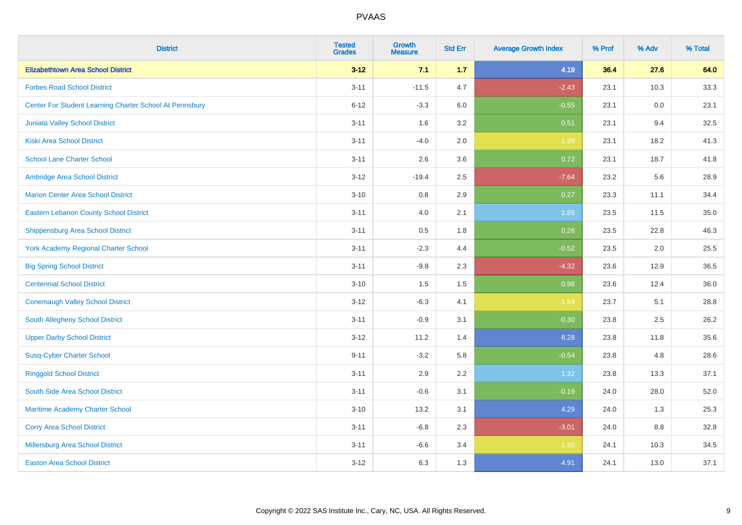| <b>District</b>                                         | <b>Tested</b><br><b>Grades</b> | <b>Growth</b><br><b>Measure</b> | <b>Std Err</b> | <b>Average Growth Index</b> | % Prof | % Adv | % Total |
|---------------------------------------------------------|--------------------------------|---------------------------------|----------------|-----------------------------|--------|-------|---------|
| <b>Elizabethtown Area School District</b>               | $3 - 12$                       | 7.1                             | 1.7            | 4.19                        | 36.4   | 27.6  | 64.0    |
| <b>Forbes Road School District</b>                      | $3 - 11$                       | $-11.5$                         | 4.7            | $-2.43$                     | 23.1   | 10.3  | 33.3    |
| Center For Student Learning Charter School At Pennsbury | $6 - 12$                       | $-3.3$                          | 6.0            | $-0.55$                     | 23.1   | 0.0   | 23.1    |
| <b>Juniata Valley School District</b>                   | $3 - 11$                       | 1.6                             | 3.2            | 0.51                        | 23.1   | 9.4   | 32.5    |
| <b>Kiski Area School District</b>                       | $3 - 11$                       | $-4.0$                          | 2.0            | $-1.99$                     | 23.1   | 18.2  | 41.3    |
| <b>School Lane Charter School</b>                       | $3 - 11$                       | 2.6                             | 3.6            | 0.72                        | 23.1   | 18.7  | 41.8    |
| Ambridge Area School District                           | $3 - 12$                       | $-19.4$                         | 2.5            | $-7.64$                     | 23.2   | 5.6   | 28.9    |
| <b>Marion Center Area School District</b>               | $3 - 10$                       | $0.8\,$                         | 2.9            | 0.27                        | 23.3   | 11.1  | 34.4    |
| <b>Eastern Lebanon County School District</b>           | $3 - 11$                       | 4.0                             | 2.1            | 1.89                        | 23.5   | 11.5  | 35.0    |
| <b>Shippensburg Area School District</b>                | $3 - 11$                       | 0.5                             | 1.8            | 0.26                        | 23.5   | 22.8  | 46.3    |
| <b>York Academy Regional Charter School</b>             | $3 - 11$                       | $-2.3$                          | 4.4            | $-0.52$                     | 23.5   | 2.0   | 25.5    |
| <b>Big Spring School District</b>                       | $3 - 11$                       | $-9.8$                          | 2.3            | $-4.32$                     | 23.6   | 12.9  | 36.5    |
| <b>Centennial School District</b>                       | $3 - 10$                       | 1.5                             | 1.5            | 0.98                        | 23.6   | 12.4  | 36.0    |
| <b>Conemaugh Valley School District</b>                 | $3 - 12$                       | $-6.3$                          | 4.1            | $-1.54$                     | 23.7   | 5.1   | 28.8    |
| South Allegheny School District                         | $3 - 11$                       | $-0.9$                          | 3.1            | $-0.30$                     | 23.8   | 2.5   | 26.2    |
| <b>Upper Darby School District</b>                      | $3 - 12$                       | 11.2                            | 1.4            | 8.28                        | 23.8   | 11.8  | 35.6    |
| <b>Susq-Cyber Charter School</b>                        | $9 - 11$                       | $-3.2$                          | 5.8            | $-0.54$                     | 23.8   | 4.8   | 28.6    |
| <b>Ringgold School District</b>                         | $3 - 11$                       | 2.9                             | 2.2            | 1.32                        | 23.8   | 13.3  | 37.1    |
| South Side Area School District                         | $3 - 11$                       | $-0.6$                          | 3.1            | $-0.19$                     | 24.0   | 28.0  | 52.0    |
| Maritime Academy Charter School                         | $3 - 10$                       | 13.2                            | 3.1            | 4.29                        | 24.0   | 1.3   | 25.3    |
| <b>Corry Area School District</b>                       | $3 - 11$                       | $-6.8$                          | 2.3            | $-3.01$                     | 24.0   | 8.8   | 32.8    |
| Millersburg Area School District                        | $3 - 11$                       | $-6.6$                          | 3.4            | $-1.92$                     | 24.1   | 10.3  | 34.5    |
| <b>Easton Area School District</b>                      | $3 - 12$                       | 6.3                             | 1.3            | 4.91                        | 24.1   | 13.0  | 37.1    |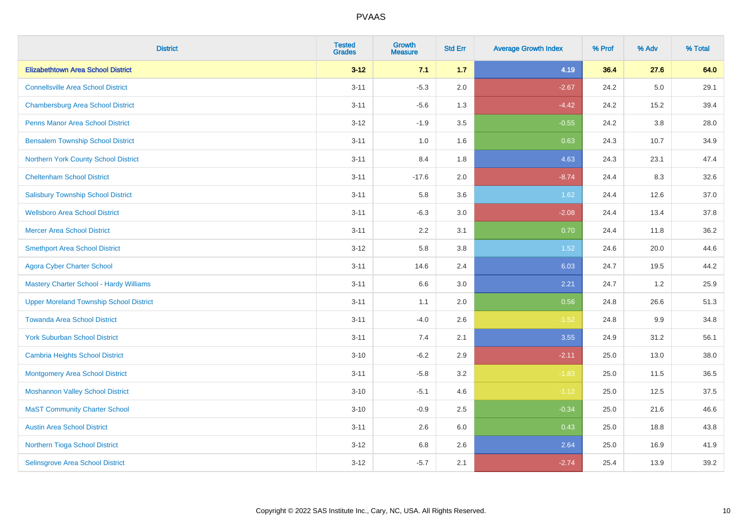| <b>District</b>                                | <b>Tested</b><br><b>Grades</b> | <b>Growth</b><br><b>Measure</b> | <b>Std Err</b> | <b>Average Growth Index</b> | % Prof | % Adv   | % Total |
|------------------------------------------------|--------------------------------|---------------------------------|----------------|-----------------------------|--------|---------|---------|
| <b>Elizabethtown Area School District</b>      | $3 - 12$                       | 7.1                             | 1.7            | 4.19                        | 36.4   | 27.6    | 64.0    |
| <b>Connellsville Area School District</b>      | $3 - 11$                       | $-5.3$                          | 2.0            | $-2.67$                     | 24.2   | $5.0\,$ | 29.1    |
| <b>Chambersburg Area School District</b>       | $3 - 11$                       | $-5.6$                          | 1.3            | $-4.42$                     | 24.2   | 15.2    | 39.4    |
| <b>Penns Manor Area School District</b>        | $3 - 12$                       | $-1.9$                          | 3.5            | $-0.55$                     | 24.2   | $3.8\,$ | 28.0    |
| <b>Bensalem Township School District</b>       | $3 - 11$                       | 1.0                             | 1.6            | 0.63                        | 24.3   | 10.7    | 34.9    |
| Northern York County School District           | $3 - 11$                       | 8.4                             | 1.8            | 4.63                        | 24.3   | 23.1    | 47.4    |
| <b>Cheltenham School District</b>              | $3 - 11$                       | $-17.6$                         | 2.0            | $-8.74$                     | 24.4   | 8.3     | 32.6    |
| <b>Salisbury Township School District</b>      | $3 - 11$                       | 5.8                             | 3.6            | 1.62                        | 24.4   | 12.6    | 37.0    |
| <b>Wellsboro Area School District</b>          | $3 - 11$                       | $-6.3$                          | 3.0            | $-2.08$                     | 24.4   | 13.4    | 37.8    |
| <b>Mercer Area School District</b>             | $3 - 11$                       | 2.2                             | 3.1            | 0.70                        | 24.4   | 11.8    | 36.2    |
| <b>Smethport Area School District</b>          | $3 - 12$                       | 5.8                             | 3.8            | 1.52                        | 24.6   | 20.0    | 44.6    |
| <b>Agora Cyber Charter School</b>              | $3 - 11$                       | 14.6                            | 2.4            | 6.03                        | 24.7   | 19.5    | 44.2    |
| <b>Mastery Charter School - Hardy Williams</b> | $3 - 11$                       | 6.6                             | 3.0            | 2.21                        | 24.7   | 1.2     | 25.9    |
| <b>Upper Moreland Township School District</b> | $3 - 11$                       | 1.1                             | 2.0            | 0.56                        | 24.8   | 26.6    | 51.3    |
| <b>Towanda Area School District</b>            | $3 - 11$                       | $-4.0$                          | 2.6            | $-1.52$                     | 24.8   | 9.9     | 34.8    |
| <b>York Suburban School District</b>           | $3 - 11$                       | 7.4                             | 2.1            | 3.55                        | 24.9   | 31.2    | 56.1    |
| <b>Cambria Heights School District</b>         | $3 - 10$                       | $-6.2$                          | 2.9            | $-2.11$                     | 25.0   | 13.0    | 38.0    |
| <b>Montgomery Area School District</b>         | $3 - 11$                       | $-5.8$                          | 3.2            | $-1.83$                     | 25.0   | 11.5    | 36.5    |
| <b>Moshannon Valley School District</b>        | $3 - 10$                       | $-5.1$                          | 4.6            | $-1.12$                     | 25.0   | 12.5    | 37.5    |
| <b>MaST Community Charter School</b>           | $3 - 10$                       | $-0.9$                          | 2.5            | $-0.34$                     | 25.0   | 21.6    | 46.6    |
| <b>Austin Area School District</b>             | $3 - 11$                       | 2.6                             | 6.0            | 0.43                        | 25.0   | 18.8    | 43.8    |
| Northern Tioga School District                 | $3 - 12$                       | 6.8                             | 2.6            | 2.64                        | 25.0   | 16.9    | 41.9    |
| Selinsgrove Area School District               | $3 - 12$                       | $-5.7$                          | 2.1            | $-2.74$                     | 25.4   | 13.9    | 39.2    |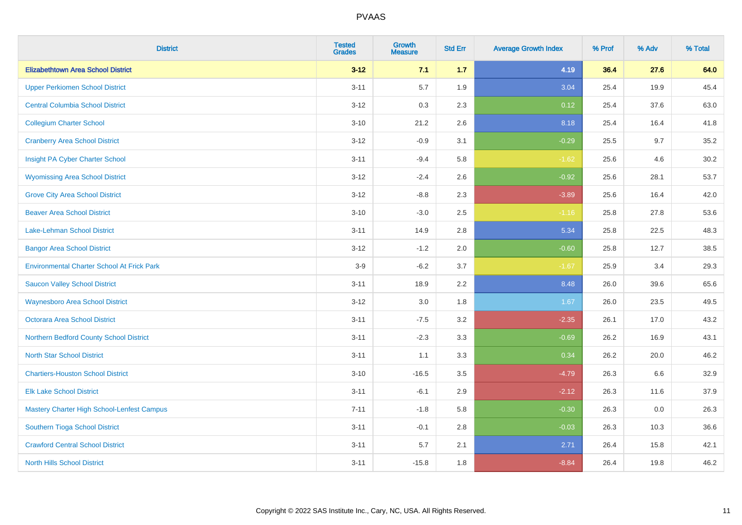| <b>District</b>                                   | <b>Tested</b><br><b>Grades</b> | <b>Growth</b><br><b>Measure</b> | <b>Std Err</b> | <b>Average Growth Index</b> | % Prof | % Adv | % Total |
|---------------------------------------------------|--------------------------------|---------------------------------|----------------|-----------------------------|--------|-------|---------|
| <b>Elizabethtown Area School District</b>         | $3 - 12$                       | 7.1                             | 1.7            | 4.19                        | 36.4   | 27.6  | 64.0    |
| <b>Upper Perkiomen School District</b>            | $3 - 11$                       | 5.7                             | 1.9            | 3.04                        | 25.4   | 19.9  | 45.4    |
| <b>Central Columbia School District</b>           | $3 - 12$                       | 0.3                             | 2.3            | 0.12                        | 25.4   | 37.6  | 63.0    |
| <b>Collegium Charter School</b>                   | $3 - 10$                       | 21.2                            | 2.6            | 8.18                        | 25.4   | 16.4  | 41.8    |
| <b>Cranberry Area School District</b>             | $3 - 12$                       | $-0.9$                          | 3.1            | $-0.29$                     | 25.5   | 9.7   | 35.2    |
| Insight PA Cyber Charter School                   | $3 - 11$                       | $-9.4$                          | 5.8            | $-1.62$                     | 25.6   | 4.6   | 30.2    |
| <b>Wyomissing Area School District</b>            | $3 - 12$                       | $-2.4$                          | 2.6            | $-0.92$                     | 25.6   | 28.1  | 53.7    |
| <b>Grove City Area School District</b>            | $3 - 12$                       | $-8.8$                          | 2.3            | $-3.89$                     | 25.6   | 16.4  | 42.0    |
| <b>Beaver Area School District</b>                | $3 - 10$                       | $-3.0$                          | 2.5            | $-1.16$                     | 25.8   | 27.8  | 53.6    |
| <b>Lake-Lehman School District</b>                | $3 - 11$                       | 14.9                            | 2.8            | 5.34                        | 25.8   | 22.5  | 48.3    |
| <b>Bangor Area School District</b>                | $3 - 12$                       | $-1.2$                          | 2.0            | $-0.60$                     | 25.8   | 12.7  | 38.5    |
| <b>Environmental Charter School At Frick Park</b> | $3-9$                          | $-6.2$                          | 3.7            | $-1.67$                     | 25.9   | 3.4   | 29.3    |
| <b>Saucon Valley School District</b>              | $3 - 11$                       | 18.9                            | 2.2            | 8.48                        | 26.0   | 39.6  | 65.6    |
| <b>Waynesboro Area School District</b>            | $3 - 12$                       | 3.0                             | 1.8            | 1.67                        | 26.0   | 23.5  | 49.5    |
| <b>Octorara Area School District</b>              | $3 - 11$                       | $-7.5$                          | 3.2            | $-2.35$                     | 26.1   | 17.0  | 43.2    |
| Northern Bedford County School District           | $3 - 11$                       | $-2.3$                          | 3.3            | $-0.69$                     | 26.2   | 16.9  | 43.1    |
| <b>North Star School District</b>                 | $3 - 11$                       | 1.1                             | 3.3            | 0.34                        | 26.2   | 20.0  | 46.2    |
| <b>Chartiers-Houston School District</b>          | $3 - 10$                       | $-16.5$                         | 3.5            | $-4.79$                     | 26.3   | 6.6   | 32.9    |
| <b>Elk Lake School District</b>                   | $3 - 11$                       | $-6.1$                          | 2.9            | $-2.12$                     | 26.3   | 11.6  | 37.9    |
| Mastery Charter High School-Lenfest Campus        | $7 - 11$                       | $-1.8$                          | 5.8            | $-0.30$                     | 26.3   | 0.0   | 26.3    |
| Southern Tioga School District                    | $3 - 11$                       | $-0.1$                          | 2.8            | $-0.03$                     | 26.3   | 10.3  | 36.6    |
| <b>Crawford Central School District</b>           | $3 - 11$                       | 5.7                             | 2.1            | 2.71                        | 26.4   | 15.8  | 42.1    |
| <b>North Hills School District</b>                | $3 - 11$                       | $-15.8$                         | 1.8            | $-8.84$                     | 26.4   | 19.8  | 46.2    |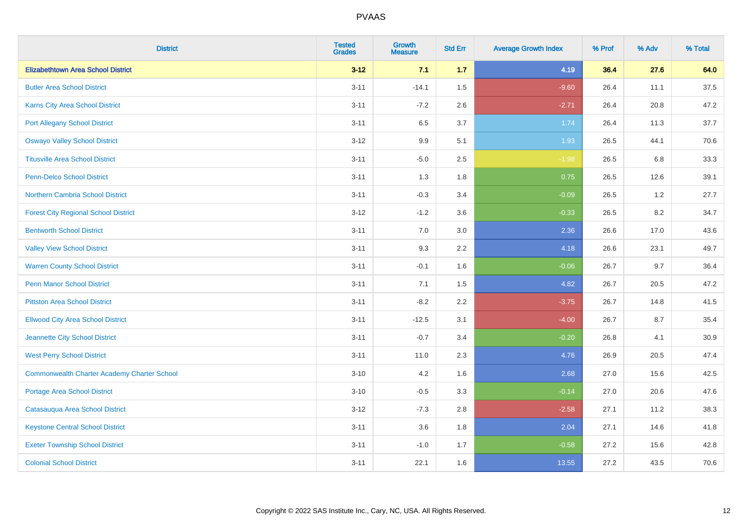| <b>District</b>                             | <b>Tested</b><br><b>Grades</b> | <b>Growth</b><br><b>Measure</b> | <b>Std Err</b> | <b>Average Growth Index</b> | % Prof | % Adv | % Total |
|---------------------------------------------|--------------------------------|---------------------------------|----------------|-----------------------------|--------|-------|---------|
| <b>Elizabethtown Area School District</b>   | $3 - 12$                       | 7.1                             | 1.7            | 4.19                        | 36.4   | 27.6  | 64.0    |
| <b>Butler Area School District</b>          | $3 - 11$                       | $-14.1$                         | 1.5            | $-9.60$                     | 26.4   | 11.1  | 37.5    |
| <b>Karns City Area School District</b>      | $3 - 11$                       | $-7.2$                          | 2.6            | $-2.71$                     | 26.4   | 20.8  | 47.2    |
| <b>Port Allegany School District</b>        | $3 - 11$                       | 6.5                             | 3.7            | 1.74                        | 26.4   | 11.3  | 37.7    |
| <b>Oswayo Valley School District</b>        | $3 - 12$                       | 9.9                             | 5.1            | 1.93                        | 26.5   | 44.1  | 70.6    |
| <b>Titusville Area School District</b>      | $3 - 11$                       | $-5.0$                          | 2.5            | $-1.98$                     | 26.5   | 6.8   | 33.3    |
| Penn-Delco School District                  | $3 - 11$                       | 1.3                             | 1.8            | 0.75                        | 26.5   | 12.6  | 39.1    |
| <b>Northern Cambria School District</b>     | $3 - 11$                       | $-0.3$                          | 3.4            | $-0.09$                     | 26.5   | 1.2   | 27.7    |
| <b>Forest City Regional School District</b> | $3 - 12$                       | $-1.2$                          | 3.6            | $-0.33$                     | 26.5   | 8.2   | 34.7    |
| <b>Bentworth School District</b>            | $3 - 11$                       | 7.0                             | 3.0            | 2.36                        | 26.6   | 17.0  | 43.6    |
| <b>Valley View School District</b>          | $3 - 11$                       | 9.3                             | 2.2            | 4.18                        | 26.6   | 23.1  | 49.7    |
| <b>Warren County School District</b>        | $3 - 11$                       | $-0.1$                          | 1.6            | $-0.06$                     | 26.7   | 9.7   | 36.4    |
| Penn Manor School District                  | $3 - 11$                       | 7.1                             | 1.5            | 4.82                        | 26.7   | 20.5  | 47.2    |
| <b>Pittston Area School District</b>        | $3 - 11$                       | $-8.2$                          | 2.2            | $-3.75$                     | 26.7   | 14.8  | 41.5    |
| <b>Ellwood City Area School District</b>    | $3 - 11$                       | $-12.5$                         | 3.1            | $-4.00$                     | 26.7   | 8.7   | 35.4    |
| Jeannette City School District              | $3 - 11$                       | $-0.7$                          | 3.4            | $-0.20$                     | 26.8   | 4.1   | 30.9    |
| <b>West Perry School District</b>           | $3 - 11$                       | 11.0                            | 2.3            | 4.76                        | 26.9   | 20.5  | 47.4    |
| Commonwealth Charter Academy Charter School | $3 - 10$                       | 4.2                             | 1.6            | 2.68                        | 27.0   | 15.6  | 42.5    |
| <b>Portage Area School District</b>         | $3 - 10$                       | $-0.5$                          | 3.3            | $-0.14$                     | 27.0   | 20.6  | 47.6    |
| Catasauqua Area School District             | $3 - 12$                       | $-7.3$                          | 2.8            | $-2.58$                     | 27.1   | 11.2  | 38.3    |
| <b>Keystone Central School District</b>     | $3 - 11$                       | 3.6                             | 1.8            | 2.04                        | 27.1   | 14.6  | 41.8    |
| <b>Exeter Township School District</b>      | $3 - 11$                       | $-1.0$                          | 1.7            | $-0.58$                     | 27.2   | 15.6  | 42.8    |
| <b>Colonial School District</b>             | $3 - 11$                       | 22.1                            | 1.6            | 13.55                       | 27.2   | 43.5  | 70.6    |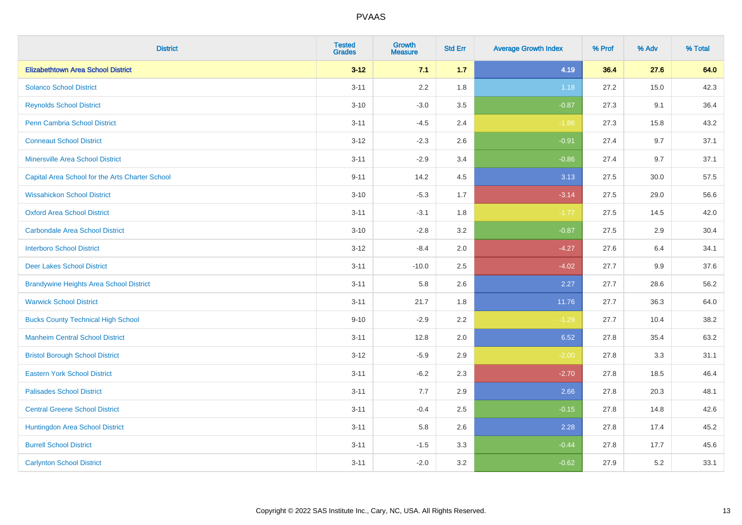| <b>District</b>                                 | <b>Tested</b><br><b>Grades</b> | <b>Growth</b><br><b>Measure</b> | <b>Std Err</b> | <b>Average Growth Index</b> | % Prof | % Adv | % Total |
|-------------------------------------------------|--------------------------------|---------------------------------|----------------|-----------------------------|--------|-------|---------|
| <b>Elizabethtown Area School District</b>       | $3 - 12$                       | 7.1                             | 1.7            | 4.19                        | 36.4   | 27.6  | 64.0    |
| <b>Solanco School District</b>                  | $3 - 11$                       | 2.2                             | 1.8            | 1.18                        | 27.2   | 15.0  | 42.3    |
| <b>Reynolds School District</b>                 | $3 - 10$                       | $-3.0$                          | 3.5            | $-0.87$                     | 27.3   | 9.1   | 36.4    |
| Penn Cambria School District                    | $3 - 11$                       | $-4.5$                          | 2.4            | $-1.86$                     | 27.3   | 15.8  | 43.2    |
| <b>Conneaut School District</b>                 | $3-12$                         | $-2.3$                          | 2.6            | $-0.91$                     | 27.4   | 9.7   | 37.1    |
| <b>Minersville Area School District</b>         | $3 - 11$                       | $-2.9$                          | 3.4            | $-0.86$                     | 27.4   | 9.7   | 37.1    |
| Capital Area School for the Arts Charter School | $9 - 11$                       | 14.2                            | 4.5            | 3.13                        | 27.5   | 30.0  | 57.5    |
| <b>Wissahickon School District</b>              | $3 - 10$                       | $-5.3$                          | 1.7            | $-3.14$                     | 27.5   | 29.0  | 56.6    |
| <b>Oxford Area School District</b>              | $3 - 11$                       | $-3.1$                          | 1.8            | $-1.77$                     | 27.5   | 14.5  | 42.0    |
| <b>Carbondale Area School District</b>          | $3 - 10$                       | $-2.8$                          | 3.2            | $-0.87$                     | 27.5   | 2.9   | 30.4    |
| <b>Interboro School District</b>                | $3 - 12$                       | $-8.4$                          | 2.0            | $-4.27$                     | 27.6   | 6.4   | 34.1    |
| <b>Deer Lakes School District</b>               | $3 - 11$                       | $-10.0$                         | 2.5            | $-4.02$                     | 27.7   | 9.9   | 37.6    |
| <b>Brandywine Heights Area School District</b>  | $3 - 11$                       | 5.8                             | 2.6            | 2.27                        | 27.7   | 28.6  | 56.2    |
| <b>Warwick School District</b>                  | $3 - 11$                       | 21.7                            | 1.8            | 11.76                       | 27.7   | 36.3  | 64.0    |
| <b>Bucks County Technical High School</b>       | $9 - 10$                       | $-2.9$                          | 2.2            | $-1.29$                     | 27.7   | 10.4  | 38.2    |
| <b>Manheim Central School District</b>          | $3 - 11$                       | 12.8                            | 2.0            | 6.52                        | 27.8   | 35.4  | 63.2    |
| <b>Bristol Borough School District</b>          | $3 - 12$                       | $-5.9$                          | 2.9            | $-2.00$                     | 27.8   | 3.3   | 31.1    |
| <b>Eastern York School District</b>             | $3 - 11$                       | $-6.2$                          | 2.3            | $-2.70$                     | 27.8   | 18.5  | 46.4    |
| <b>Palisades School District</b>                | $3 - 11$                       | 7.7                             | 2.9            | 2.66                        | 27.8   | 20.3  | 48.1    |
| <b>Central Greene School District</b>           | $3 - 11$                       | $-0.4$                          | 2.5            | $-0.15$                     | 27.8   | 14.8  | 42.6    |
| Huntingdon Area School District                 | $3 - 11$                       | 5.8                             | 2.6            | 2.28                        | 27.8   | 17.4  | 45.2    |
| <b>Burrell School District</b>                  | $3 - 11$                       | $-1.5$                          | 3.3            | $-0.44$                     | 27.8   | 17.7  | 45.6    |
| <b>Carlynton School District</b>                | $3 - 11$                       | $-2.0$                          | 3.2            | $-0.62$                     | 27.9   | 5.2   | 33.1    |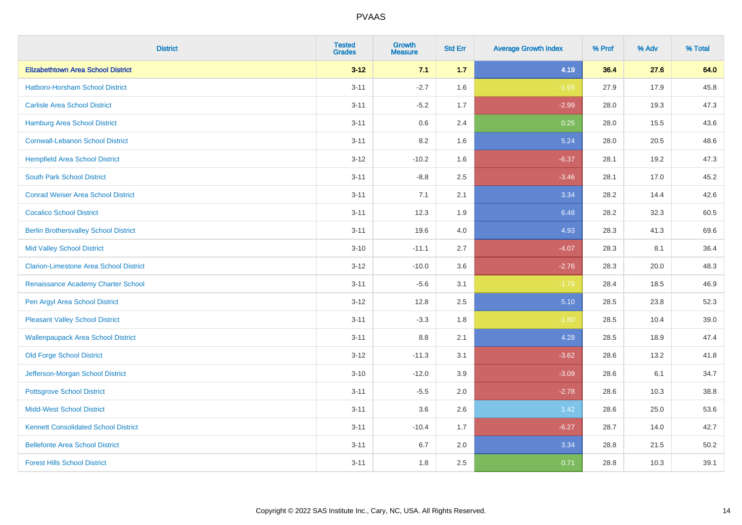| <b>District</b>                               | <b>Tested</b><br><b>Grades</b> | <b>Growth</b><br><b>Measure</b> | <b>Std Err</b> | <b>Average Growth Index</b> | % Prof | % Adv | % Total |
|-----------------------------------------------|--------------------------------|---------------------------------|----------------|-----------------------------|--------|-------|---------|
| <b>Elizabethtown Area School District</b>     | $3 - 12$                       | 7.1                             | $1.7$          | 4.19                        | 36.4   | 27.6  | 64.0    |
| <b>Hatboro-Horsham School District</b>        | $3 - 11$                       | $-2.7$                          | 1.6            | $-1.65$                     | 27.9   | 17.9  | 45.8    |
| <b>Carlisle Area School District</b>          | $3 - 11$                       | $-5.2$                          | 1.7            | $-2.99$                     | 28.0   | 19.3  | 47.3    |
| <b>Hamburg Area School District</b>           | $3 - 11$                       | 0.6                             | 2.4            | 0.25                        | 28.0   | 15.5  | 43.6    |
| <b>Cornwall-Lebanon School District</b>       | $3 - 11$                       | 8.2                             | 1.6            | 5.24                        | 28.0   | 20.5  | 48.6    |
| <b>Hempfield Area School District</b>         | $3 - 12$                       | $-10.2$                         | 1.6            | $-6.37$                     | 28.1   | 19.2  | 47.3    |
| <b>South Park School District</b>             | $3 - 11$                       | $-8.8$                          | 2.5            | $-3.46$                     | 28.1   | 17.0  | 45.2    |
| <b>Conrad Weiser Area School District</b>     | $3 - 11$                       | 7.1                             | 2.1            | 3.34                        | 28.2   | 14.4  | 42.6    |
| <b>Cocalico School District</b>               | $3 - 11$                       | 12.3                            | 1.9            | 6.48                        | 28.2   | 32.3  | 60.5    |
| <b>Berlin Brothersvalley School District</b>  | $3 - 11$                       | 19.6                            | 4.0            | 4.93                        | 28.3   | 41.3  | 69.6    |
| <b>Mid Valley School District</b>             | $3 - 10$                       | $-11.1$                         | 2.7            | $-4.07$                     | 28.3   | 8.1   | 36.4    |
| <b>Clarion-Limestone Area School District</b> | $3 - 12$                       | $-10.0$                         | 3.6            | $-2.76$                     | 28.3   | 20.0  | 48.3    |
| Renaissance Academy Charter School            | $3 - 11$                       | $-5.6$                          | 3.1            | $-1.79$                     | 28.4   | 18.5  | 46.9    |
| Pen Argyl Area School District                | $3 - 12$                       | 12.8                            | 2.5            | 5.10                        | 28.5   | 23.8  | 52.3    |
| <b>Pleasant Valley School District</b>        | $3 - 11$                       | $-3.3$                          | 1.8            | $-1.80$                     | 28.5   | 10.4  | 39.0    |
| <b>Wallenpaupack Area School District</b>     | $3 - 11$                       | 8.8                             | 2.1            | 4.28                        | 28.5   | 18.9  | 47.4    |
| <b>Old Forge School District</b>              | $3 - 12$                       | $-11.3$                         | 3.1            | $-3.62$                     | 28.6   | 13.2  | 41.8    |
| Jefferson-Morgan School District              | $3 - 10$                       | $-12.0$                         | 3.9            | $-3.09$                     | 28.6   | 6.1   | 34.7    |
| <b>Pottsgrove School District</b>             | $3 - 11$                       | $-5.5$                          | 2.0            | $-2.78$                     | 28.6   | 10.3  | 38.8    |
| <b>Midd-West School District</b>              | $3 - 11$                       | 3.6                             | 2.6            | 1.42                        | 28.6   | 25.0  | 53.6    |
| <b>Kennett Consolidated School District</b>   | $3 - 11$                       | $-10.4$                         | 1.7            | $-6.27$                     | 28.7   | 14.0  | 42.7    |
| <b>Bellefonte Area School District</b>        | $3 - 11$                       | 6.7                             | 2.0            | 3.34                        | 28.8   | 21.5  | 50.2    |
| <b>Forest Hills School District</b>           | $3 - 11$                       | 1.8                             | 2.5            | 0.71                        | 28.8   | 10.3  | 39.1    |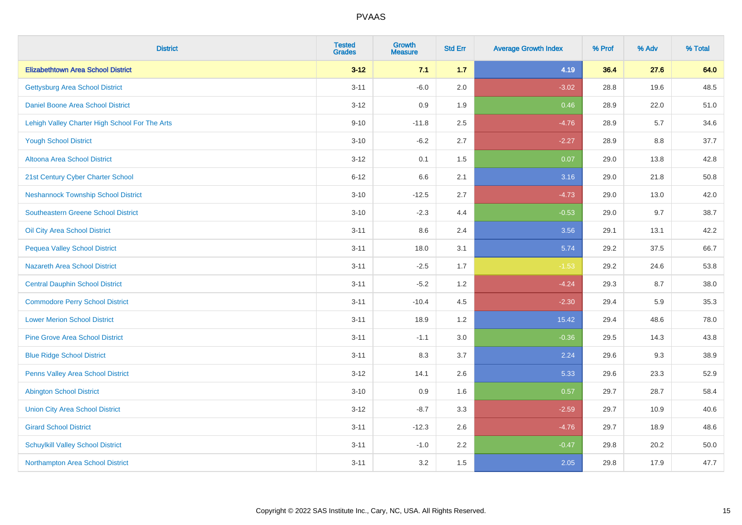| <b>District</b>                                | <b>Tested</b><br><b>Grades</b> | <b>Growth</b><br><b>Measure</b> | <b>Std Err</b> | <b>Average Growth Index</b> | % Prof | % Adv | % Total |
|------------------------------------------------|--------------------------------|---------------------------------|----------------|-----------------------------|--------|-------|---------|
| <b>Elizabethtown Area School District</b>      | $3 - 12$                       | 7.1                             | 1.7            | 4.19                        | 36.4   | 27.6  | 64.0    |
| <b>Gettysburg Area School District</b>         | $3 - 11$                       | $-6.0$                          | 2.0            | $-3.02$                     | 28.8   | 19.6  | 48.5    |
| Daniel Boone Area School District              | $3 - 12$                       | 0.9                             | 1.9            | 0.46                        | 28.9   | 22.0  | 51.0    |
| Lehigh Valley Charter High School For The Arts | $9 - 10$                       | $-11.8$                         | 2.5            | $-4.76$                     | 28.9   | 5.7   | 34.6    |
| <b>Yough School District</b>                   | $3 - 10$                       | $-6.2$                          | 2.7            | $-2.27$                     | 28.9   | 8.8   | 37.7    |
| Altoona Area School District                   | $3 - 12$                       | 0.1                             | 1.5            | 0.07                        | 29.0   | 13.8  | 42.8    |
| 21st Century Cyber Charter School              | $6 - 12$                       | 6.6                             | 2.1            | 3.16                        | 29.0   | 21.8  | 50.8    |
| <b>Neshannock Township School District</b>     | $3 - 10$                       | $-12.5$                         | 2.7            | $-4.73$                     | 29.0   | 13.0  | 42.0    |
| <b>Southeastern Greene School District</b>     | $3 - 10$                       | $-2.3$                          | 4.4            | $-0.53$                     | 29.0   | 9.7   | 38.7    |
| Oil City Area School District                  | $3 - 11$                       | 8.6                             | 2.4            | 3.56                        | 29.1   | 13.1  | 42.2    |
| <b>Pequea Valley School District</b>           | $3 - 11$                       | 18.0                            | 3.1            | 5.74                        | 29.2   | 37.5  | 66.7    |
| <b>Nazareth Area School District</b>           | $3 - 11$                       | $-2.5$                          | 1.7            | $-1.53$                     | 29.2   | 24.6  | 53.8    |
| <b>Central Dauphin School District</b>         | $3 - 11$                       | $-5.2$                          | 1.2            | $-4.24$                     | 29.3   | 8.7   | 38.0    |
| <b>Commodore Perry School District</b>         | $3 - 11$                       | $-10.4$                         | 4.5            | $-2.30$                     | 29.4   | 5.9   | 35.3    |
| <b>Lower Merion School District</b>            | $3 - 11$                       | 18.9                            | 1.2            | 15.42                       | 29.4   | 48.6  | 78.0    |
| <b>Pine Grove Area School District</b>         | $3 - 11$                       | $-1.1$                          | 3.0            | $-0.36$                     | 29.5   | 14.3  | 43.8    |
| <b>Blue Ridge School District</b>              | $3 - 11$                       | 8.3                             | 3.7            | 2.24                        | 29.6   | 9.3   | 38.9    |
| Penns Valley Area School District              | $3 - 12$                       | 14.1                            | 2.6            | 5.33                        | 29.6   | 23.3  | 52.9    |
| <b>Abington School District</b>                | $3 - 10$                       | 0.9                             | 1.6            | 0.57                        | 29.7   | 28.7  | 58.4    |
| <b>Union City Area School District</b>         | $3 - 12$                       | $-8.7$                          | 3.3            | $-2.59$                     | 29.7   | 10.9  | 40.6    |
| <b>Girard School District</b>                  | $3 - 11$                       | $-12.3$                         | 2.6            | $-4.76$                     | 29.7   | 18.9  | 48.6    |
| <b>Schuylkill Valley School District</b>       | $3 - 11$                       | $-1.0$                          | 2.2            | $-0.47$                     | 29.8   | 20.2  | 50.0    |
| Northampton Area School District               | $3 - 11$                       | 3.2                             | 1.5            | 2.05                        | 29.8   | 17.9  | 47.7    |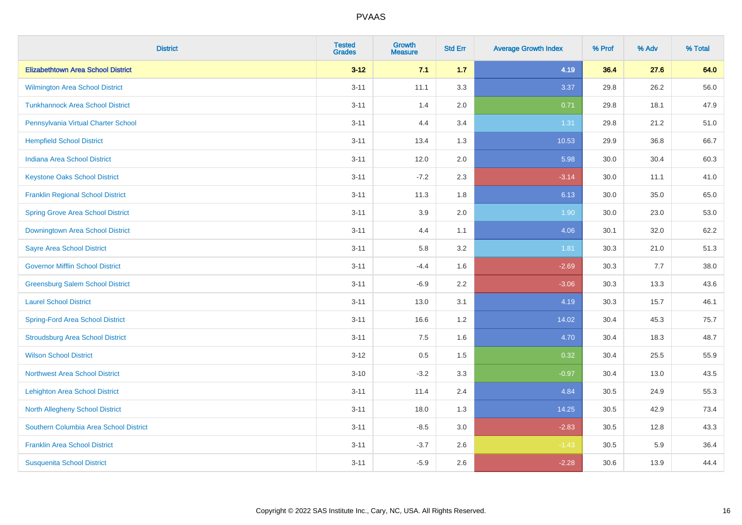| <b>District</b>                           | <b>Tested</b><br><b>Grades</b> | <b>Growth</b><br><b>Measure</b> | <b>Std Err</b> | <b>Average Growth Index</b> | % Prof | % Adv | % Total |
|-------------------------------------------|--------------------------------|---------------------------------|----------------|-----------------------------|--------|-------|---------|
| <b>Elizabethtown Area School District</b> | $3 - 12$                       | 7.1                             | 1.7            | 4.19                        | 36.4   | 27.6  | 64.0    |
| <b>Wilmington Area School District</b>    | $3 - 11$                       | 11.1                            | 3.3            | 3.37                        | 29.8   | 26.2  | 56.0    |
| <b>Tunkhannock Area School District</b>   | $3 - 11$                       | 1.4                             | 2.0            | 0.71                        | 29.8   | 18.1  | 47.9    |
| Pennsylvania Virtual Charter School       | $3 - 11$                       | 4.4                             | 3.4            | 1.31                        | 29.8   | 21.2  | 51.0    |
| <b>Hempfield School District</b>          | $3 - 11$                       | 13.4                            | 1.3            | 10.53                       | 29.9   | 36.8  | 66.7    |
| <b>Indiana Area School District</b>       | $3 - 11$                       | 12.0                            | 2.0            | 5.98                        | 30.0   | 30.4  | 60.3    |
| <b>Keystone Oaks School District</b>      | $3 - 11$                       | $-7.2$                          | 2.3            | $-3.14$                     | 30.0   | 11.1  | 41.0    |
| <b>Franklin Regional School District</b>  | $3 - 11$                       | 11.3                            | 1.8            | 6.13                        | 30.0   | 35.0  | 65.0    |
| <b>Spring Grove Area School District</b>  | $3 - 11$                       | 3.9                             | 2.0            | 1.90                        | 30.0   | 23.0  | 53.0    |
| Downingtown Area School District          | $3 - 11$                       | 4.4                             | 1.1            | 4.06                        | 30.1   | 32.0  | 62.2    |
| <b>Sayre Area School District</b>         | $3 - 11$                       | 5.8                             | 3.2            | 1.81                        | 30.3   | 21.0  | 51.3    |
| <b>Governor Mifflin School District</b>   | $3 - 11$                       | $-4.4$                          | 1.6            | $-2.69$                     | 30.3   | 7.7   | 38.0    |
| <b>Greensburg Salem School District</b>   | $3 - 11$                       | $-6.9$                          | 2.2            | $-3.06$                     | 30.3   | 13.3  | 43.6    |
| <b>Laurel School District</b>             | $3 - 11$                       | 13.0                            | 3.1            | 4.19                        | 30.3   | 15.7  | 46.1    |
| <b>Spring-Ford Area School District</b>   | $3 - 11$                       | 16.6                            | 1.2            | 14.02                       | 30.4   | 45.3  | 75.7    |
| <b>Stroudsburg Area School District</b>   | $3 - 11$                       | 7.5                             | 1.6            | 4.70                        | 30.4   | 18.3  | 48.7    |
| <b>Wilson School District</b>             | $3-12$                         | 0.5                             | 1.5            | 0.32                        | 30.4   | 25.5  | 55.9    |
| <b>Northwest Area School District</b>     | $3 - 10$                       | $-3.2$                          | 3.3            | $-0.97$                     | 30.4   | 13.0  | 43.5    |
| <b>Lehighton Area School District</b>     | $3 - 11$                       | 11.4                            | 2.4            | 4.84                        | 30.5   | 24.9  | 55.3    |
| <b>North Allegheny School District</b>    | $3 - 11$                       | 18.0                            | 1.3            | 14.25                       | 30.5   | 42.9  | 73.4    |
| Southern Columbia Area School District    | $3 - 11$                       | $-8.5$                          | 3.0            | $-2.83$                     | 30.5   | 12.8  | 43.3    |
| <b>Franklin Area School District</b>      | $3 - 11$                       | $-3.7$                          | 2.6            | $-1.43$                     | 30.5   | 5.9   | 36.4    |
| <b>Susquenita School District</b>         | $3 - 11$                       | $-5.9$                          | 2.6            | $-2.28$                     | 30.6   | 13.9  | 44.4    |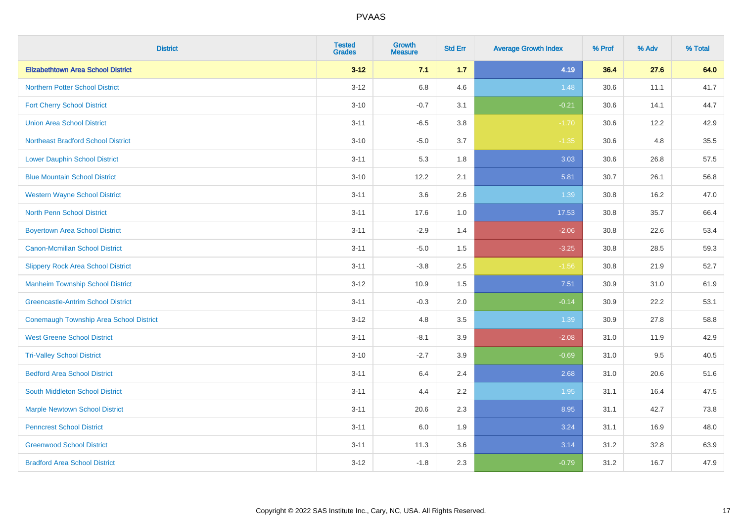| <b>District</b>                           | <b>Tested</b><br><b>Grades</b> | <b>Growth</b><br><b>Measure</b> | <b>Std Err</b> | <b>Average Growth Index</b> | % Prof | % Adv | % Total |
|-------------------------------------------|--------------------------------|---------------------------------|----------------|-----------------------------|--------|-------|---------|
| <b>Elizabethtown Area School District</b> | $3 - 12$                       | 7.1                             | 1.7            | 4.19                        | 36.4   | 27.6  | 64.0    |
| <b>Northern Potter School District</b>    | $3 - 12$                       | $6.8\,$                         | 4.6            | 1.48                        | 30.6   | 11.1  | 41.7    |
| <b>Fort Cherry School District</b>        | $3 - 10$                       | $-0.7$                          | 3.1            | $-0.21$                     | 30.6   | 14.1  | 44.7    |
| <b>Union Area School District</b>         | $3 - 11$                       | $-6.5$                          | 3.8            | $-1.70$                     | 30.6   | 12.2  | 42.9    |
| <b>Northeast Bradford School District</b> | $3 - 10$                       | $-5.0$                          | 3.7            | $-1.35$                     | 30.6   | 4.8   | 35.5    |
| <b>Lower Dauphin School District</b>      | $3 - 11$                       | 5.3                             | 1.8            | 3.03                        | 30.6   | 26.8  | 57.5    |
| <b>Blue Mountain School District</b>      | $3 - 10$                       | 12.2                            | 2.1            | 5.81                        | 30.7   | 26.1  | 56.8    |
| <b>Western Wayne School District</b>      | $3 - 11$                       | 3.6                             | 2.6            | 1.39                        | 30.8   | 16.2  | 47.0    |
| <b>North Penn School District</b>         | $3 - 11$                       | 17.6                            | 1.0            | 17.53                       | 30.8   | 35.7  | 66.4    |
| <b>Boyertown Area School District</b>     | $3 - 11$                       | $-2.9$                          | 1.4            | $-2.06$                     | 30.8   | 22.6  | 53.4    |
| <b>Canon-Mcmillan School District</b>     | $3 - 11$                       | $-5.0$                          | 1.5            | $-3.25$                     | 30.8   | 28.5  | 59.3    |
| <b>Slippery Rock Area School District</b> | $3 - 11$                       | $-3.8$                          | 2.5            | $-1.56$                     | 30.8   | 21.9  | 52.7    |
| <b>Manheim Township School District</b>   | $3 - 12$                       | 10.9                            | 1.5            | 7.51                        | 30.9   | 31.0  | 61.9    |
| <b>Greencastle-Antrim School District</b> | $3 - 11$                       | $-0.3$                          | 2.0            | $-0.14$                     | 30.9   | 22.2  | 53.1    |
| Conemaugh Township Area School District   | $3-12$                         | 4.8                             | 3.5            | 1.39                        | 30.9   | 27.8  | 58.8    |
| <b>West Greene School District</b>        | $3 - 11$                       | $-8.1$                          | 3.9            | $-2.08$                     | 31.0   | 11.9  | 42.9    |
| <b>Tri-Valley School District</b>         | $3 - 10$                       | $-2.7$                          | 3.9            | $-0.69$                     | 31.0   | 9.5   | 40.5    |
| <b>Bedford Area School District</b>       | $3 - 11$                       | 6.4                             | 2.4            | 2.68                        | 31.0   | 20.6  | 51.6    |
| South Middleton School District           | $3 - 11$                       | 4.4                             | 2.2            | 1.95                        | 31.1   | 16.4  | 47.5    |
| <b>Marple Newtown School District</b>     | $3 - 11$                       | 20.6                            | 2.3            | 8.95                        | 31.1   | 42.7  | 73.8    |
| <b>Penncrest School District</b>          | $3 - 11$                       | 6.0                             | 1.9            | 3.24                        | 31.1   | 16.9  | 48.0    |
| <b>Greenwood School District</b>          | $3 - 11$                       | 11.3                            | 3.6            | 3.14                        | 31.2   | 32.8  | 63.9    |
| <b>Bradford Area School District</b>      | $3 - 12$                       | $-1.8$                          | 2.3            | $-0.79$                     | 31.2   | 16.7  | 47.9    |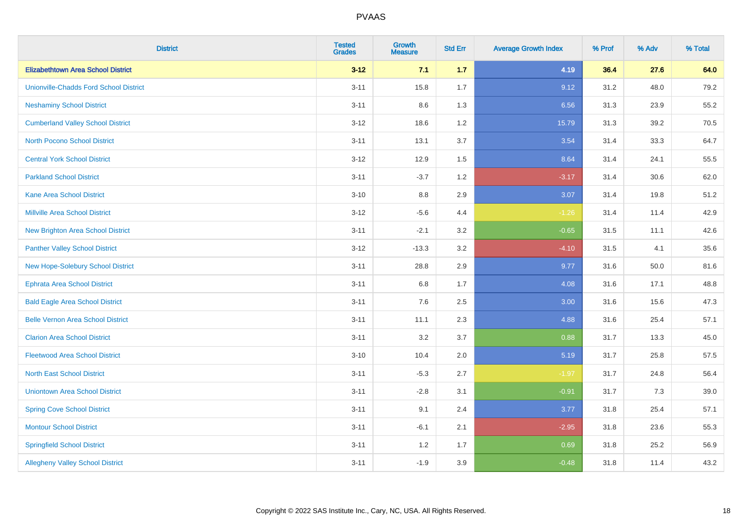| <b>District</b>                               | <b>Tested</b><br><b>Grades</b> | <b>Growth</b><br><b>Measure</b> | <b>Std Err</b> | <b>Average Growth Index</b> | % Prof | % Adv | % Total |
|-----------------------------------------------|--------------------------------|---------------------------------|----------------|-----------------------------|--------|-------|---------|
| <b>Elizabethtown Area School District</b>     | $3 - 12$                       | 7.1                             | 1.7            | 4.19                        | 36.4   | 27.6  | 64.0    |
| <b>Unionville-Chadds Ford School District</b> | $3 - 11$                       | 15.8                            | 1.7            | 9.12                        | 31.2   | 48.0  | 79.2    |
| <b>Neshaminy School District</b>              | $3 - 11$                       | 8.6                             | 1.3            | 6.56                        | 31.3   | 23.9  | 55.2    |
| <b>Cumberland Valley School District</b>      | $3 - 12$                       | 18.6                            | 1.2            | 15.79                       | 31.3   | 39.2  | 70.5    |
| <b>North Pocono School District</b>           | $3 - 11$                       | 13.1                            | 3.7            | 3.54                        | 31.4   | 33.3  | 64.7    |
| <b>Central York School District</b>           | $3 - 12$                       | 12.9                            | 1.5            | 8.64                        | 31.4   | 24.1  | 55.5    |
| <b>Parkland School District</b>               | $3 - 11$                       | $-3.7$                          | 1.2            | $-3.17$                     | 31.4   | 30.6  | 62.0    |
| <b>Kane Area School District</b>              | $3 - 10$                       | $8.8\,$                         | 2.9            | 3.07                        | 31.4   | 19.8  | 51.2    |
| <b>Millville Area School District</b>         | $3 - 12$                       | $-5.6$                          | 4.4            | $-1.26$                     | 31.4   | 11.4  | 42.9    |
| <b>New Brighton Area School District</b>      | $3 - 11$                       | $-2.1$                          | 3.2            | $-0.65$                     | 31.5   | 11.1  | 42.6    |
| <b>Panther Valley School District</b>         | $3 - 12$                       | $-13.3$                         | 3.2            | $-4.10$                     | 31.5   | 4.1   | 35.6    |
| New Hope-Solebury School District             | $3 - 11$                       | 28.8                            | 2.9            | 9.77                        | 31.6   | 50.0  | 81.6    |
| <b>Ephrata Area School District</b>           | $3 - 11$                       | $6.8\,$                         | 1.7            | 4.08                        | 31.6   | 17.1  | 48.8    |
| <b>Bald Eagle Area School District</b>        | $3 - 11$                       | 7.6                             | 2.5            | 3.00                        | 31.6   | 15.6  | 47.3    |
| <b>Belle Vernon Area School District</b>      | $3 - 11$                       | 11.1                            | 2.3            | 4.88                        | 31.6   | 25.4  | 57.1    |
| <b>Clarion Area School District</b>           | $3 - 11$                       | 3.2                             | 3.7            | 0.88                        | 31.7   | 13.3  | 45.0    |
| <b>Fleetwood Area School District</b>         | $3 - 10$                       | 10.4                            | 2.0            | 5.19                        | 31.7   | 25.8  | 57.5    |
| <b>North East School District</b>             | $3 - 11$                       | $-5.3$                          | 2.7            | $-1.97$                     | 31.7   | 24.8  | 56.4    |
| <b>Uniontown Area School District</b>         | $3 - 11$                       | $-2.8$                          | 3.1            | $-0.91$                     | 31.7   | 7.3   | 39.0    |
| <b>Spring Cove School District</b>            | $3 - 11$                       | 9.1                             | 2.4            | 3.77                        | 31.8   | 25.4  | 57.1    |
| <b>Montour School District</b>                | $3 - 11$                       | $-6.1$                          | 2.1            | $-2.95$                     | 31.8   | 23.6  | 55.3    |
| <b>Springfield School District</b>            | $3 - 11$                       | 1.2                             | 1.7            | 0.69                        | 31.8   | 25.2  | 56.9    |
| <b>Allegheny Valley School District</b>       | $3 - 11$                       | $-1.9$                          | 3.9            | $-0.48$                     | 31.8   | 11.4  | 43.2    |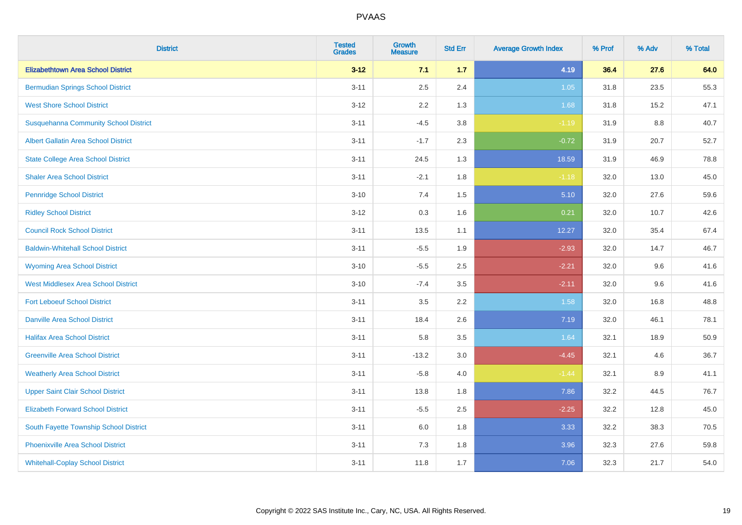| <b>District</b>                              | <b>Tested</b><br><b>Grades</b> | <b>Growth</b><br><b>Measure</b> | <b>Std Err</b> | <b>Average Growth Index</b> | % Prof | % Adv | % Total |
|----------------------------------------------|--------------------------------|---------------------------------|----------------|-----------------------------|--------|-------|---------|
| <b>Elizabethtown Area School District</b>    | $3 - 12$                       | 7.1                             | 1.7            | 4.19                        | 36.4   | 27.6  | 64.0    |
| <b>Bermudian Springs School District</b>     | $3 - 11$                       | 2.5                             | 2.4            | $1.05$                      | 31.8   | 23.5  | 55.3    |
| <b>West Shore School District</b>            | $3 - 12$                       | 2.2                             | 1.3            | 1.68                        | 31.8   | 15.2  | 47.1    |
| <b>Susquehanna Community School District</b> | $3 - 11$                       | $-4.5$                          | 3.8            | $-1.19$                     | 31.9   | 8.8   | 40.7    |
| <b>Albert Gallatin Area School District</b>  | $3 - 11$                       | $-1.7$                          | 2.3            | $-0.72$                     | 31.9   | 20.7  | 52.7    |
| <b>State College Area School District</b>    | $3 - 11$                       | 24.5                            | 1.3            | 18.59                       | 31.9   | 46.9  | 78.8    |
| <b>Shaler Area School District</b>           | $3 - 11$                       | $-2.1$                          | 1.8            | $-1.18$                     | 32.0   | 13.0  | 45.0    |
| <b>Pennridge School District</b>             | $3 - 10$                       | 7.4                             | $1.5\,$        | 5.10                        | 32.0   | 27.6  | 59.6    |
| <b>Ridley School District</b>                | $3 - 12$                       | 0.3                             | 1.6            | 0.21                        | 32.0   | 10.7  | 42.6    |
| <b>Council Rock School District</b>          | $3 - 11$                       | 13.5                            | 1.1            | 12.27                       | 32.0   | 35.4  | 67.4    |
| <b>Baldwin-Whitehall School District</b>     | $3 - 11$                       | $-5.5$                          | 1.9            | $-2.93$                     | 32.0   | 14.7  | 46.7    |
| <b>Wyoming Area School District</b>          | $3 - 10$                       | $-5.5$                          | 2.5            | $-2.21$                     | 32.0   | 9.6   | 41.6    |
| <b>West Middlesex Area School District</b>   | $3 - 10$                       | $-7.4$                          | 3.5            | $-2.11$                     | 32.0   | 9.6   | 41.6    |
| <b>Fort Leboeuf School District</b>          | $3 - 11$                       | 3.5                             | 2.2            | 1.58                        | 32.0   | 16.8  | 48.8    |
| <b>Danville Area School District</b>         | $3 - 11$                       | 18.4                            | 2.6            | 7.19                        | 32.0   | 46.1  | 78.1    |
| <b>Halifax Area School District</b>          | $3 - 11$                       | 5.8                             | 3.5            | 1.64                        | 32.1   | 18.9  | 50.9    |
| <b>Greenville Area School District</b>       | $3 - 11$                       | $-13.2$                         | 3.0            | $-4.45$                     | 32.1   | 4.6   | 36.7    |
| <b>Weatherly Area School District</b>        | $3 - 11$                       | $-5.8$                          | 4.0            | $-1.44$                     | 32.1   | 8.9   | 41.1    |
| <b>Upper Saint Clair School District</b>     | $3 - 11$                       | 13.8                            | 1.8            | 7.86                        | 32.2   | 44.5  | 76.7    |
| <b>Elizabeth Forward School District</b>     | $3 - 11$                       | $-5.5$                          | 2.5            | $-2.25$                     | 32.2   | 12.8  | 45.0    |
| South Fayette Township School District       | $3 - 11$                       | 6.0                             | 1.8            | 3.33                        | 32.2   | 38.3  | 70.5    |
| Phoenixville Area School District            | $3 - 11$                       | 7.3                             | 1.8            | 3.96                        | 32.3   | 27.6  | 59.8    |
| <b>Whitehall-Coplay School District</b>      | $3 - 11$                       | 11.8                            | 1.7            | 7.06                        | 32.3   | 21.7  | 54.0    |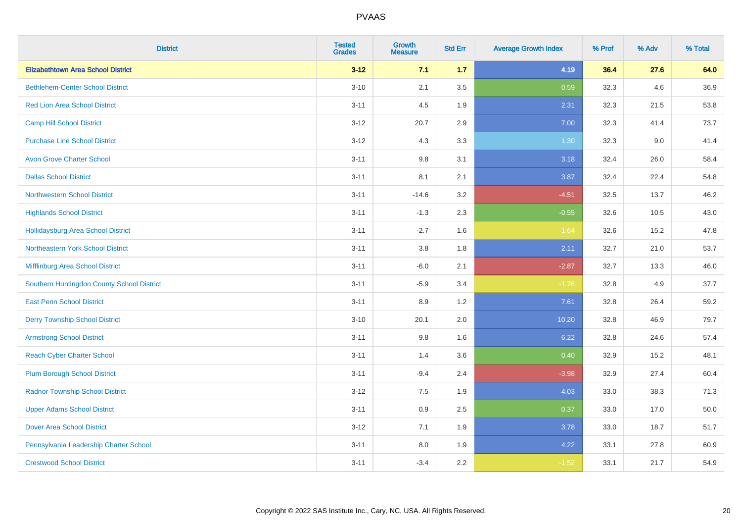| <b>District</b>                            | <b>Tested</b><br><b>Grades</b> | <b>Growth</b><br><b>Measure</b> | <b>Std Err</b> | <b>Average Growth Index</b> | % Prof | % Adv | % Total |
|--------------------------------------------|--------------------------------|---------------------------------|----------------|-----------------------------|--------|-------|---------|
| <b>Elizabethtown Area School District</b>  | $3 - 12$                       | 7.1                             | 1.7            | 4.19                        | 36.4   | 27.6  | 64.0    |
| <b>Bethlehem-Center School District</b>    | $3 - 10$                       | 2.1                             | 3.5            | 0.59                        | 32.3   | 4.6   | 36.9    |
| <b>Red Lion Area School District</b>       | $3 - 11$                       | 4.5                             | 1.9            | 2.31                        | 32.3   | 21.5  | 53.8    |
| <b>Camp Hill School District</b>           | $3 - 12$                       | 20.7                            | 2.9            | 7.00                        | 32.3   | 41.4  | 73.7    |
| <b>Purchase Line School District</b>       | $3 - 12$                       | 4.3                             | 3.3            | 1.30                        | 32.3   | 9.0   | 41.4    |
| <b>Avon Grove Charter School</b>           | $3 - 11$                       | $9.8\,$                         | 3.1            | 3.18                        | 32.4   | 26.0  | 58.4    |
| <b>Dallas School District</b>              | $3 - 11$                       | 8.1                             | 2.1            | 3.87                        | 32.4   | 22.4  | 54.8    |
| <b>Northwestern School District</b>        | $3 - 11$                       | $-14.6$                         | 3.2            | $-4.51$                     | 32.5   | 13.7  | 46.2    |
| <b>Highlands School District</b>           | $3 - 11$                       | $-1.3$                          | 2.3            | $-0.55$                     | 32.6   | 10.5  | 43.0    |
| <b>Hollidaysburg Area School District</b>  | $3 - 11$                       | $-2.7$                          | 1.6            | $-1.64$                     | 32.6   | 15.2  | 47.8    |
| Northeastern York School District          | $3 - 11$                       | 3.8                             | 1.8            | 2.11                        | 32.7   | 21.0  | 53.7    |
| Mifflinburg Area School District           | $3 - 11$                       | $-6.0$                          | 2.1            | $-2.87$                     | 32.7   | 13.3  | 46.0    |
| Southern Huntingdon County School District | $3 - 11$                       | $-5.9$                          | 3.4            | $-1.76$                     | 32.8   | 4.9   | 37.7    |
| <b>East Penn School District</b>           | $3 - 11$                       | 8.9                             | 1.2            | 7.61                        | 32.8   | 26.4  | 59.2    |
| <b>Derry Township School District</b>      | $3 - 10$                       | 20.1                            | 2.0            | 10.20                       | 32.8   | 46.9  | 79.7    |
| <b>Armstrong School District</b>           | $3 - 11$                       | 9.8                             | 1.6            | 6.22                        | 32.8   | 24.6  | 57.4    |
| <b>Reach Cyber Charter School</b>          | $3 - 11$                       | 1.4                             | 3.6            | 0.40                        | 32.9   | 15.2  | 48.1    |
| <b>Plum Borough School District</b>        | $3 - 11$                       | $-9.4$                          | 2.4            | $-3.98$                     | 32.9   | 27.4  | 60.4    |
| <b>Radnor Township School District</b>     | $3 - 12$                       | $7.5\,$                         | 1.9            | 4.03                        | 33.0   | 38.3  | 71.3    |
| <b>Upper Adams School District</b>         | $3 - 11$                       | 0.9                             | 2.5            | 0.37                        | 33.0   | 17.0  | 50.0    |
| <b>Dover Area School District</b>          | $3 - 12$                       | 7.1                             | 1.9            | 3.78                        | 33.0   | 18.7  | 51.7    |
| Pennsylvania Leadership Charter School     | $3 - 11$                       | $8.0\,$                         | 1.9            | 4.22                        | 33.1   | 27.8  | 60.9    |
| <b>Crestwood School District</b>           | $3 - 11$                       | $-3.4$                          | 2.2            | $-1.52$                     | 33.1   | 21.7  | 54.9    |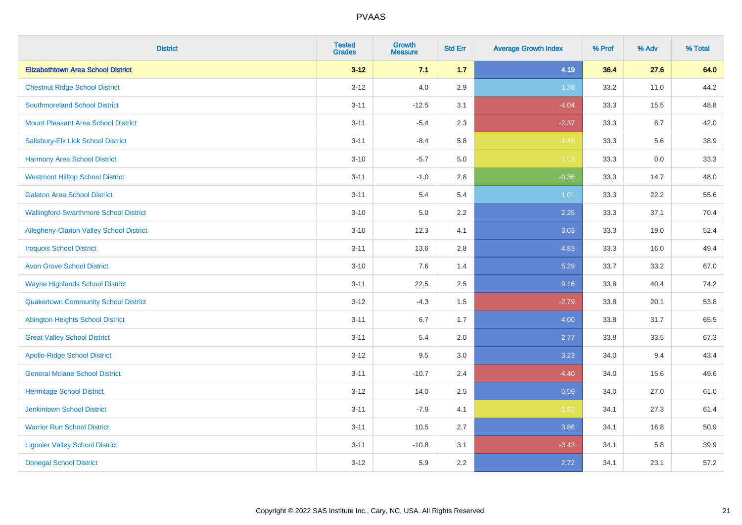| <b>District</b>                                 | <b>Tested</b><br><b>Grades</b> | <b>Growth</b><br><b>Measure</b> | <b>Std Err</b> | <b>Average Growth Index</b> | % Prof | % Adv | % Total |
|-------------------------------------------------|--------------------------------|---------------------------------|----------------|-----------------------------|--------|-------|---------|
| <b>Elizabethtown Area School District</b>       | $3 - 12$                       | 7.1                             | $1.7$          | 4.19                        | 36.4   | 27.6  | 64.0    |
| <b>Chestnut Ridge School District</b>           | $3 - 12$                       | 4.0                             | 2.9            | 1.38                        | 33.2   | 11.0  | 44.2    |
| <b>Southmoreland School District</b>            | $3 - 11$                       | $-12.5$                         | 3.1            | $-4.04$                     | 33.3   | 15.5  | 48.8    |
| <b>Mount Pleasant Area School District</b>      | $3 - 11$                       | $-5.4$                          | 2.3            | $-2.37$                     | 33.3   | 8.7   | 42.0    |
| Salisbury-Elk Lick School District              | $3 - 11$                       | $-8.4$                          | 5.8            | $-1.45$                     | 33.3   | 5.6   | 38.9    |
| <b>Harmony Area School District</b>             | $3 - 10$                       | $-5.7$                          | 5.0            | $-1.13$                     | 33.3   | 0.0   | 33.3    |
| <b>Westmont Hilltop School District</b>         | $3 - 11$                       | $-1.0$                          | 2.8            | $-0.36$                     | 33.3   | 14.7  | 48.0    |
| <b>Galeton Area School District</b>             | $3 - 11$                       | 5.4                             | 5.4            | 1.01                        | 33.3   | 22.2  | 55.6    |
| <b>Wallingford-Swarthmore School District</b>   | $3 - 10$                       | 5.0                             | 2.2            | 2.25                        | 33.3   | 37.1  | 70.4    |
| <b>Allegheny-Clarion Valley School District</b> | $3 - 10$                       | 12.3                            | 4.1            | 3.03                        | 33.3   | 19.0  | 52.4    |
| <b>Iroquois School District</b>                 | $3 - 11$                       | 13.6                            | 2.8            | 4.83                        | 33.3   | 16.0  | 49.4    |
| <b>Avon Grove School District</b>               | $3 - 10$                       | 7.6                             | 1.4            | 5.29                        | 33.7   | 33.2  | 67.0    |
| <b>Wayne Highlands School District</b>          | $3 - 11$                       | 22.5                            | 2.5            | 9.16                        | 33.8   | 40.4  | 74.2    |
| <b>Quakertown Community School District</b>     | $3 - 12$                       | $-4.3$                          | $1.5\,$        | $-2.79$                     | 33.8   | 20.1  | 53.8    |
| <b>Abington Heights School District</b>         | $3 - 11$                       | 6.7                             | 1.7            | 4.00                        | 33.8   | 31.7  | 65.5    |
| <b>Great Valley School District</b>             | $3 - 11$                       | 5.4                             | 2.0            | 2.77                        | 33.8   | 33.5  | 67.3    |
| <b>Apollo-Ridge School District</b>             | $3 - 12$                       | 9.5                             | 3.0            | 3.23                        | 34.0   | 9.4   | 43.4    |
| <b>General Mclane School District</b>           | $3 - 11$                       | $-10.7$                         | 2.4            | $-4.40$                     | 34.0   | 15.6  | 49.6    |
| <b>Hermitage School District</b>                | $3 - 12$                       | 14.0                            | 2.5            | 5.59                        | 34.0   | 27.0  | 61.0    |
| <b>Jenkintown School District</b>               | $3 - 11$                       | $-7.9$                          | 4.1            | $-1.92$                     | 34.1   | 27.3  | 61.4    |
| <b>Warrior Run School District</b>              | $3 - 11$                       | 10.5                            | 2.7            | 3.86                        | 34.1   | 16.8  | 50.9    |
| <b>Ligonier Valley School District</b>          | $3 - 11$                       | $-10.8$                         | 3.1            | $-3.43$                     | 34.1   | 5.8   | 39.9    |
| <b>Donegal School District</b>                  | $3 - 12$                       | 5.9                             | 2.2            | 2.72                        | 34.1   | 23.1  | 57.2    |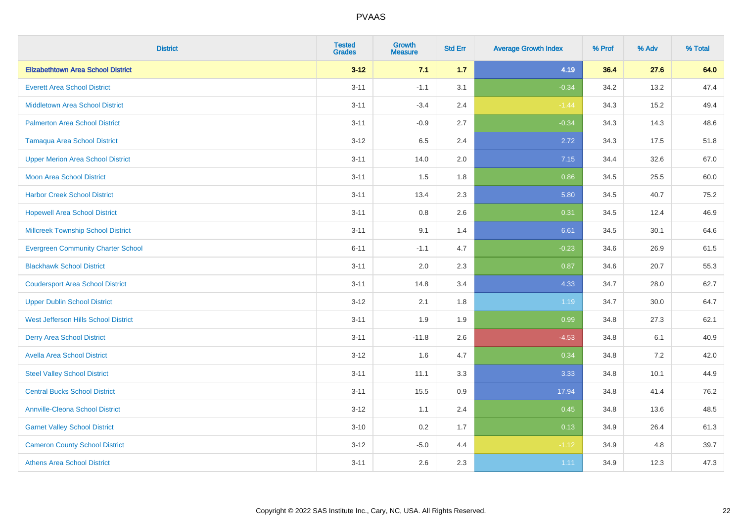| <b>District</b>                           | <b>Tested</b><br><b>Grades</b> | <b>Growth</b><br><b>Measure</b> | <b>Std Err</b> | <b>Average Growth Index</b> | % Prof | % Adv | % Total |
|-------------------------------------------|--------------------------------|---------------------------------|----------------|-----------------------------|--------|-------|---------|
| <b>Elizabethtown Area School District</b> | $3 - 12$                       | 7.1                             | 1.7            | 4.19                        | 36.4   | 27.6  | 64.0    |
| <b>Everett Area School District</b>       | $3 - 11$                       | $-1.1$                          | 3.1            | $-0.34$                     | 34.2   | 13.2  | 47.4    |
| <b>Middletown Area School District</b>    | $3 - 11$                       | $-3.4$                          | 2.4            | $-1.44$                     | 34.3   | 15.2  | 49.4    |
| <b>Palmerton Area School District</b>     | $3 - 11$                       | $-0.9$                          | 2.7            | $-0.34$                     | 34.3   | 14.3  | 48.6    |
| <b>Tamaqua Area School District</b>       | $3 - 12$                       | 6.5                             | 2.4            | 2.72                        | 34.3   | 17.5  | 51.8    |
| <b>Upper Merion Area School District</b>  | $3 - 11$                       | 14.0                            | 2.0            | 7.15                        | 34.4   | 32.6  | 67.0    |
| Moon Area School District                 | $3 - 11$                       | 1.5                             | 1.8            | 0.86                        | 34.5   | 25.5  | 60.0    |
| <b>Harbor Creek School District</b>       | $3 - 11$                       | 13.4                            | 2.3            | 5.80                        | 34.5   | 40.7  | 75.2    |
| <b>Hopewell Area School District</b>      | $3 - 11$                       | 0.8                             | 2.6            | 0.31                        | 34.5   | 12.4  | 46.9    |
| <b>Millcreek Township School District</b> | $3 - 11$                       | 9.1                             | 1.4            | 6.61                        | 34.5   | 30.1  | 64.6    |
| <b>Evergreen Community Charter School</b> | $6 - 11$                       | $-1.1$                          | 4.7            | $-0.23$                     | 34.6   | 26.9  | 61.5    |
| <b>Blackhawk School District</b>          | $3 - 11$                       | 2.0                             | 2.3            | 0.87                        | 34.6   | 20.7  | 55.3    |
| <b>Coudersport Area School District</b>   | $3 - 11$                       | 14.8                            | 3.4            | 4.33                        | 34.7   | 28.0  | 62.7    |
| <b>Upper Dublin School District</b>       | $3 - 12$                       | 2.1                             | 1.8            | 1.19                        | 34.7   | 30.0  | 64.7    |
| West Jefferson Hills School District      | $3 - 11$                       | 1.9                             | 1.9            | 0.99                        | 34.8   | 27.3  | 62.1    |
| <b>Derry Area School District</b>         | $3 - 11$                       | $-11.8$                         | 2.6            | $-4.53$                     | 34.8   | 6.1   | 40.9    |
| <b>Avella Area School District</b>        | $3 - 12$                       | 1.6                             | 4.7            | 0.34                        | 34.8   | 7.2   | 42.0    |
| <b>Steel Valley School District</b>       | $3 - 11$                       | 11.1                            | 3.3            | 3.33                        | 34.8   | 10.1  | 44.9    |
| <b>Central Bucks School District</b>      | $3 - 11$                       | 15.5                            | 0.9            | 17.94                       | 34.8   | 41.4  | 76.2    |
| <b>Annville-Cleona School District</b>    | $3 - 12$                       | 1.1                             | 2.4            | 0.45                        | 34.8   | 13.6  | 48.5    |
| <b>Garnet Valley School District</b>      | $3 - 10$                       | 0.2                             | 1.7            | 0.13                        | 34.9   | 26.4  | 61.3    |
| <b>Cameron County School District</b>     | $3 - 12$                       | $-5.0$                          | 4.4            | $-1.12$                     | 34.9   | 4.8   | 39.7    |
| <b>Athens Area School District</b>        | $3 - 11$                       | 2.6                             | 2.3            | 1.11                        | 34.9   | 12.3  | 47.3    |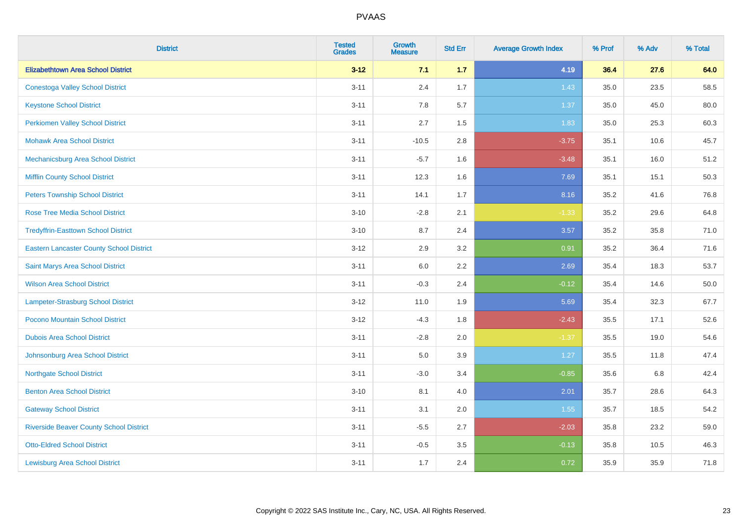| <b>District</b>                                 | <b>Tested</b><br><b>Grades</b> | <b>Growth</b><br><b>Measure</b> | <b>Std Err</b> | <b>Average Growth Index</b> | % Prof | % Adv | % Total  |
|-------------------------------------------------|--------------------------------|---------------------------------|----------------|-----------------------------|--------|-------|----------|
| <b>Elizabethtown Area School District</b>       | $3 - 12$                       | 7.1                             | 1.7            | 4.19                        | 36.4   | 27.6  | 64.0     |
| <b>Conestoga Valley School District</b>         | $3 - 11$                       | 2.4                             | 1.7            | 1.43                        | 35.0   | 23.5  | 58.5     |
| <b>Keystone School District</b>                 | $3 - 11$                       | 7.8                             | 5.7            | 1.37                        | 35.0   | 45.0  | 80.0     |
| <b>Perkiomen Valley School District</b>         | $3 - 11$                       | 2.7                             | 1.5            | 1.83                        | 35.0   | 25.3  | 60.3     |
| <b>Mohawk Area School District</b>              | $3 - 11$                       | $-10.5$                         | 2.8            | $-3.75$                     | 35.1   | 10.6  | 45.7     |
| Mechanicsburg Area School District              | $3 - 11$                       | $-5.7$                          | 1.6            | $-3.48$                     | 35.1   | 16.0  | 51.2     |
| <b>Mifflin County School District</b>           | $3 - 11$                       | 12.3                            | 1.6            | 7.69                        | 35.1   | 15.1  | 50.3     |
| <b>Peters Township School District</b>          | $3 - 11$                       | 14.1                            | 1.7            | 8.16                        | 35.2   | 41.6  | 76.8     |
| <b>Rose Tree Media School District</b>          | $3 - 10$                       | $-2.8$                          | 2.1            | $-1.33$                     | 35.2   | 29.6  | 64.8     |
| <b>Tredyffrin-Easttown School District</b>      | $3 - 10$                       | 8.7                             | 2.4            | 3.57                        | 35.2   | 35.8  | 71.0     |
| <b>Eastern Lancaster County School District</b> | $3 - 12$                       | 2.9                             | 3.2            | 0.91                        | 35.2   | 36.4  | 71.6     |
| Saint Marys Area School District                | $3 - 11$                       | 6.0                             | 2.2            | 2.69                        | 35.4   | 18.3  | 53.7     |
| <b>Wilson Area School District</b>              | $3 - 11$                       | $-0.3$                          | 2.4            | $-0.12$                     | 35.4   | 14.6  | $50.0\,$ |
| Lampeter-Strasburg School District              | $3 - 12$                       | 11.0                            | 1.9            | 5.69                        | 35.4   | 32.3  | 67.7     |
| Pocono Mountain School District                 | $3 - 12$                       | $-4.3$                          | 1.8            | $-2.43$                     | 35.5   | 17.1  | 52.6     |
| <b>Dubois Area School District</b>              | $3 - 11$                       | $-2.8$                          | 2.0            | $-1.37$                     | 35.5   | 19.0  | 54.6     |
| Johnsonburg Area School District                | $3 - 11$                       | 5.0                             | 3.9            | 1.27                        | 35.5   | 11.8  | 47.4     |
| <b>Northgate School District</b>                | $3 - 11$                       | $-3.0$                          | 3.4            | $-0.85$                     | 35.6   | 6.8   | 42.4     |
| <b>Benton Area School District</b>              | $3 - 10$                       | 8.1                             | 4.0            | 2.01                        | 35.7   | 28.6  | 64.3     |
| <b>Gateway School District</b>                  | $3 - 11$                       | 3.1                             | 2.0            | 1.55                        | 35.7   | 18.5  | 54.2     |
| <b>Riverside Beaver County School District</b>  | $3 - 11$                       | $-5.5$                          | 2.7            | $-2.03$                     | 35.8   | 23.2  | 59.0     |
| <b>Otto-Eldred School District</b>              | $3 - 11$                       | $-0.5$                          | 3.5            | $-0.13$                     | 35.8   | 10.5  | 46.3     |
| <b>Lewisburg Area School District</b>           | $3 - 11$                       | 1.7                             | 2.4            | 0.72                        | 35.9   | 35.9  | 71.8     |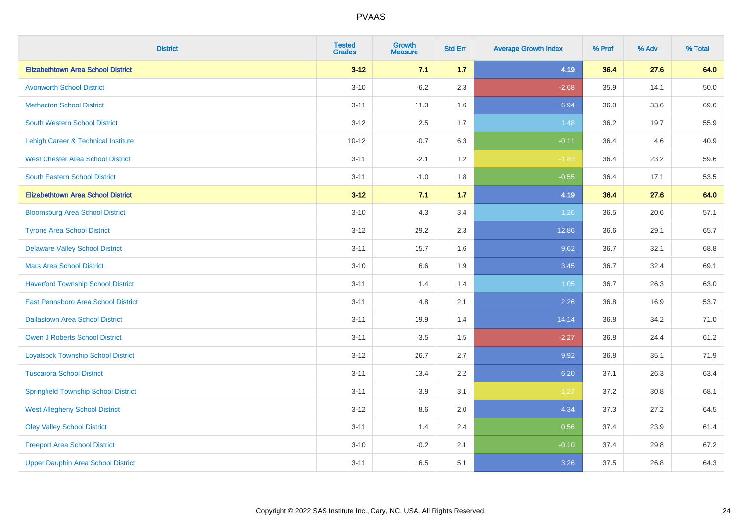| <b>District</b>                             | <b>Tested</b><br><b>Grades</b> | <b>Growth</b><br><b>Measure</b> | <b>Std Err</b> | <b>Average Growth Index</b> | % Prof | % Adv | % Total |
|---------------------------------------------|--------------------------------|---------------------------------|----------------|-----------------------------|--------|-------|---------|
| <b>Elizabethtown Area School District</b>   | $3 - 12$                       | 7.1                             | 1.7            | 4.19                        | 36.4   | 27.6  | 64.0    |
| <b>Avonworth School District</b>            | $3 - 10$                       | $-6.2$                          | 2.3            | $-2.68$                     | 35.9   | 14.1  | 50.0    |
| <b>Methacton School District</b>            | $3 - 11$                       | 11.0                            | 1.6            | 6.94                        | 36.0   | 33.6  | 69.6    |
| South Western School District               | $3 - 12$                       | 2.5                             | 1.7            | 1.48                        | 36.2   | 19.7  | 55.9    |
| Lehigh Career & Technical Institute         | $10 - 12$                      | $-0.7$                          | 6.3            | $-0.11$                     | 36.4   | 4.6   | 40.9    |
| <b>West Chester Area School District</b>    | $3 - 11$                       | $-2.1$                          | 1.2            | $-1.83$                     | 36.4   | 23.2  | 59.6    |
| South Eastern School District               | $3 - 11$                       | $-1.0$                          | 1.8            | $-0.55$                     | 36.4   | 17.1  | 53.5    |
| <b>Elizabethtown Area School District</b>   | $3 - 12$                       | 7.1                             | $1.7$          | 4.19                        | 36.4   | 27.6  | 64.0    |
| <b>Bloomsburg Area School District</b>      | $3 - 10$                       | 4.3                             | 3.4            | 1.26                        | 36.5   | 20.6  | 57.1    |
| <b>Tyrone Area School District</b>          | $3 - 12$                       | 29.2                            | 2.3            | 12.86                       | 36.6   | 29.1  | 65.7    |
| <b>Delaware Valley School District</b>      | $3 - 11$                       | 15.7                            | 1.6            | 9.62                        | 36.7   | 32.1  | 68.8    |
| <b>Mars Area School District</b>            | $3 - 10$                       | $6.6\,$                         | 1.9            | 3.45                        | 36.7   | 32.4  | 69.1    |
| <b>Haverford Township School District</b>   | $3 - 11$                       | 1.4                             | 1.4            | 1.05                        | 36.7   | 26.3  | 63.0    |
| East Pennsboro Area School District         | $3 - 11$                       | 4.8                             | 2.1            | 2.26                        | 36.8   | 16.9  | 53.7    |
| <b>Dallastown Area School District</b>      | $3 - 11$                       | 19.9                            | 1.4            | 14.14                       | 36.8   | 34.2  | 71.0    |
| <b>Owen J Roberts School District</b>       | $3 - 11$                       | $-3.5$                          | 1.5            | $-2.27$                     | 36.8   | 24.4  | 61.2    |
| <b>Loyalsock Township School District</b>   | $3 - 12$                       | 26.7                            | 2.7            | 9.92                        | 36.8   | 35.1  | 71.9    |
| <b>Tuscarora School District</b>            | $3 - 11$                       | 13.4                            | 2.2            | 6.20                        | 37.1   | 26.3  | 63.4    |
| <b>Springfield Township School District</b> | $3 - 11$                       | $-3.9$                          | 3.1            | $-1.27$                     | 37.2   | 30.8  | 68.1    |
| <b>West Allegheny School District</b>       | $3 - 12$                       | 8.6                             | 2.0            | 4.34                        | 37.3   | 27.2  | 64.5    |
| <b>Oley Valley School District</b>          | $3 - 11$                       | 1.4                             | 2.4            | 0.56                        | 37.4   | 23.9  | 61.4    |
| <b>Freeport Area School District</b>        | $3 - 10$                       | $-0.2$                          | 2.1            | $-0.10$                     | 37.4   | 29.8  | 67.2    |
| <b>Upper Dauphin Area School District</b>   | $3 - 11$                       | 16.5                            | 5.1            | 3.26                        | 37.5   | 26.8  | 64.3    |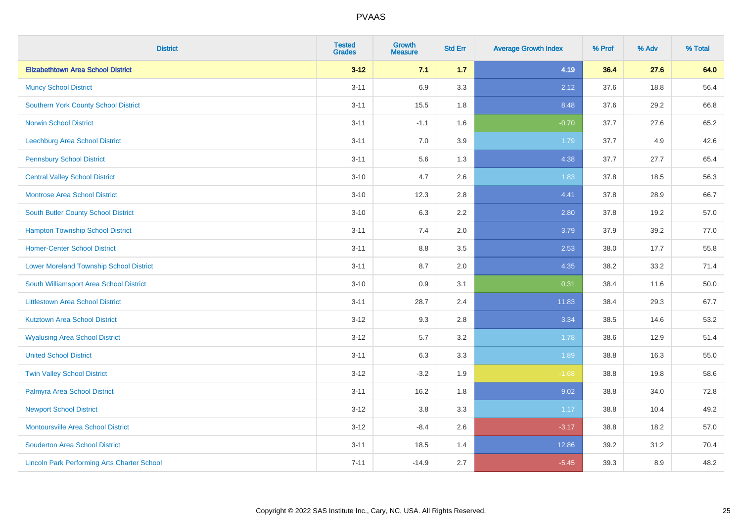| <b>District</b>                                    | <b>Tested</b><br><b>Grades</b> | <b>Growth</b><br><b>Measure</b> | <b>Std Err</b> | <b>Average Growth Index</b> | % Prof | % Adv | % Total |
|----------------------------------------------------|--------------------------------|---------------------------------|----------------|-----------------------------|--------|-------|---------|
| <b>Elizabethtown Area School District</b>          | $3 - 12$                       | 7.1                             | 1.7            | 4.19                        | 36.4   | 27.6  | 64.0    |
| <b>Muncy School District</b>                       | $3 - 11$                       | 6.9                             | 3.3            | 2.12                        | 37.6   | 18.8  | 56.4    |
| <b>Southern York County School District</b>        | $3 - 11$                       | 15.5                            | 1.8            | 8.48                        | 37.6   | 29.2  | 66.8    |
| <b>Norwin School District</b>                      | $3 - 11$                       | $-1.1$                          | 1.6            | $-0.70$                     | 37.7   | 27.6  | 65.2    |
| <b>Leechburg Area School District</b>              | $3 - 11$                       | 7.0                             | 3.9            | 1.79                        | 37.7   | 4.9   | 42.6    |
| <b>Pennsbury School District</b>                   | $3 - 11$                       | 5.6                             | 1.3            | 4.38                        | 37.7   | 27.7  | 65.4    |
| <b>Central Valley School District</b>              | $3 - 10$                       | 4.7                             | 2.6            | 1.83                        | 37.8   | 18.5  | 56.3    |
| <b>Montrose Area School District</b>               | $3 - 10$                       | 12.3                            | 2.8            | 4.41                        | 37.8   | 28.9  | 66.7    |
| South Butler County School District                | $3 - 10$                       | 6.3                             | 2.2            | 2.80                        | 37.8   | 19.2  | 57.0    |
| <b>Hampton Township School District</b>            | $3 - 11$                       | 7.4                             | 2.0            | 3.79                        | 37.9   | 39.2  | 77.0    |
| <b>Homer-Center School District</b>                | $3 - 11$                       | 8.8                             | 3.5            | 2.53                        | 38.0   | 17.7  | 55.8    |
| <b>Lower Moreland Township School District</b>     | $3 - 11$                       | 8.7                             | 2.0            | 4.35                        | 38.2   | 33.2  | 71.4    |
| South Williamsport Area School District            | $3 - 10$                       | $0.9\,$                         | 3.1            | 0.31                        | 38.4   | 11.6  | 50.0    |
| <b>Littlestown Area School District</b>            | $3 - 11$                       | 28.7                            | 2.4            | 11.83                       | 38.4   | 29.3  | 67.7    |
| <b>Kutztown Area School District</b>               | $3 - 12$                       | 9.3                             | 2.8            | 3.34                        | 38.5   | 14.6  | 53.2    |
| <b>Wyalusing Area School District</b>              | $3 - 12$                       | 5.7                             | 3.2            | 1.78                        | 38.6   | 12.9  | 51.4    |
| <b>United School District</b>                      | $3 - 11$                       | 6.3                             | 3.3            | 1.89                        | 38.8   | 16.3  | 55.0    |
| <b>Twin Valley School District</b>                 | $3 - 12$                       | $-3.2$                          | 1.9            | $-1.68$                     | 38.8   | 19.8  | 58.6    |
| Palmyra Area School District                       | $3 - 11$                       | 16.2                            | 1.8            | 9.02                        | 38.8   | 34.0  | 72.8    |
| <b>Newport School District</b>                     | $3 - 12$                       | 3.8                             | 3.3            | 1.17                        | 38.8   | 10.4  | 49.2    |
| Montoursville Area School District                 | $3-12$                         | $-8.4$                          | 2.6            | $-3.17$                     | 38.8   | 18.2  | 57.0    |
| <b>Souderton Area School District</b>              | $3 - 11$                       | 18.5                            | 1.4            | 12.86                       | 39.2   | 31.2  | 70.4    |
| <b>Lincoln Park Performing Arts Charter School</b> | $7 - 11$                       | $-14.9$                         | 2.7            | $-5.45$                     | 39.3   | 8.9   | 48.2    |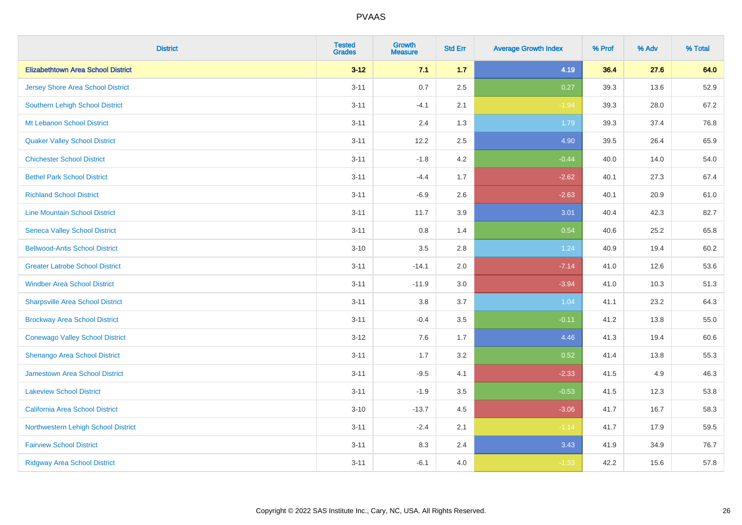| <b>District</b>                           | <b>Tested</b><br><b>Grades</b> | <b>Growth</b><br><b>Measure</b> | <b>Std Err</b> | <b>Average Growth Index</b> | % Prof | % Adv | % Total |
|-------------------------------------------|--------------------------------|---------------------------------|----------------|-----------------------------|--------|-------|---------|
| <b>Elizabethtown Area School District</b> | $3 - 12$                       | 7.1                             | 1.7            | 4.19                        | 36.4   | 27.6  | 64.0    |
| <b>Jersey Shore Area School District</b>  | $3 - 11$                       | 0.7                             | 2.5            | 0.27                        | 39.3   | 13.6  | 52.9    |
| Southern Lehigh School District           | $3 - 11$                       | $-4.1$                          | 2.1            | $-1.94$                     | 39.3   | 28.0  | 67.2    |
| Mt Lebanon School District                | $3 - 11$                       | 2.4                             | 1.3            | 1.79                        | 39.3   | 37.4  | 76.8    |
| <b>Quaker Valley School District</b>      | $3 - 11$                       | 12.2                            | 2.5            | 4.90                        | 39.5   | 26.4  | 65.9    |
| <b>Chichester School District</b>         | $3 - 11$                       | $-1.8$                          | 4.2            | $-0.44$                     | 40.0   | 14.0  | 54.0    |
| <b>Bethel Park School District</b>        | $3 - 11$                       | $-4.4$                          | 1.7            | $-2.62$                     | 40.1   | 27.3  | 67.4    |
| <b>Richland School District</b>           | $3 - 11$                       | $-6.9$                          | 2.6            | $-2.63$                     | 40.1   | 20.9  | 61.0    |
| <b>Line Mountain School District</b>      | $3 - 11$                       | 11.7                            | 3.9            | 3.01                        | 40.4   | 42.3  | 82.7    |
| <b>Seneca Valley School District</b>      | $3 - 11$                       | 0.8                             | 1.4            | 0.54                        | 40.6   | 25.2  | 65.8    |
| <b>Bellwood-Antis School District</b>     | $3 - 10$                       | 3.5                             | 2.8            | 1.24                        | 40.9   | 19.4  | 60.2    |
| <b>Greater Latrobe School District</b>    | $3 - 11$                       | $-14.1$                         | 2.0            | $-7.14$                     | 41.0   | 12.6  | 53.6    |
| <b>Windber Area School District</b>       | $3 - 11$                       | $-11.9$                         | 3.0            | $-3.94$                     | 41.0   | 10.3  | 51.3    |
| <b>Sharpsville Area School District</b>   | $3 - 11$                       | 3.8                             | 3.7            | 1.04                        | 41.1   | 23.2  | 64.3    |
| <b>Brockway Area School District</b>      | $3 - 11$                       | $-0.4$                          | 3.5            | $-0.11$                     | 41.2   | 13.8  | 55.0    |
| <b>Conewago Valley School District</b>    | $3 - 12$                       | 7.6                             | 1.7            | 4.46                        | 41.3   | 19.4  | 60.6    |
| <b>Shenango Area School District</b>      | $3 - 11$                       | 1.7                             | 3.2            | 0.52                        | 41.4   | 13.8  | 55.3    |
| Jamestown Area School District            | $3 - 11$                       | $-9.5$                          | 4.1            | $-2.33$                     | 41.5   | 4.9   | 46.3    |
| <b>Lakeview School District</b>           | $3 - 11$                       | $-1.9$                          | 3.5            | $-0.53$                     | 41.5   | 12.3  | 53.8    |
| California Area School District           | $3 - 10$                       | $-13.7$                         | 4.5            | $-3.06$                     | 41.7   | 16.7  | 58.3    |
| Northwestern Lehigh School District       | $3 - 11$                       | $-2.4$                          | 2.1            | $-1.14$                     | 41.7   | 17.9  | 59.5    |
| <b>Fairview School District</b>           | $3 - 11$                       | 8.3                             | 2.4            | 3.43                        | 41.9   | 34.9  | 76.7    |
| <b>Ridgway Area School District</b>       | $3 - 11$                       | $-6.1$                          | 4.0            | $-1.53$                     | 42.2   | 15.6  | 57.8    |